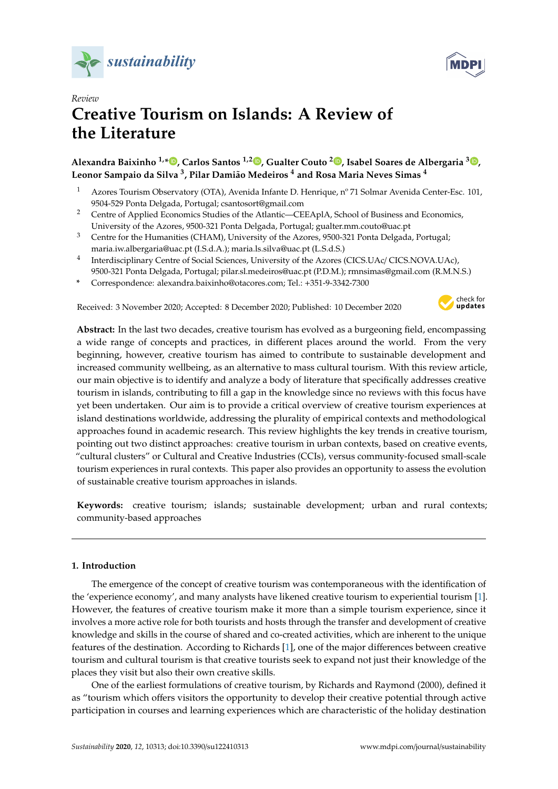



# *Review* **Creative Tourism on Islands: A Review of the Literature**

# **Alexandra Baixinho 1,[\\*](https://orcid.org/0000-0001-7334-8532) , Carlos Santos 1,2 [,](https://orcid.org/0000-0003-2421-5201) Gualter Couto <sup>2</sup> [,](https://orcid.org/0000-0001-5560-5101) Isabel Soares de Albergaria <sup>3</sup> [,](https://orcid.org/0000-0002-5306-939X) Leonor Sampaio da Silva <sup>3</sup> , Pilar Damião Medeiros <sup>4</sup> and Rosa Maria Neves Simas <sup>4</sup>**

- <sup>1</sup> Azores Tourism Observatory (OTA), Avenida Infante D. Henrique, nº 71 Solmar Avenida Center-Esc. 101, 9504-529 Ponta Delgada, Portugal; csantosort@gmail.com
- <sup>2</sup> Centre of Applied Economics Studies of the Atlantic—CEEAplA, School of Business and Economics, University of the Azores, 9500-321 Ponta Delgada, Portugal; gualter.mm.couto@uac.pt
- <sup>3</sup> Centre for the Humanities (CHAM), University of the Azores, 9500-321 Ponta Delgada, Portugal; maria.iw.albergaria@uac.pt (I.S.d.A.); maria.ls.silva@uac.pt (L.S.d.S.)
- <sup>4</sup> Interdisciplinary Centre of Social Sciences, University of the Azores (CICS.UAc/ CICS.NOVA.UAc), 9500-321 Ponta Delgada, Portugal; pilar.sl.medeiros@uac.pt (P.D.M.); rmnsimas@gmail.com (R.M.N.S.)
- **\*** Correspondence: alexandra.baixinho@otacores.com; Tel.: +351-9-3342-7300

Received: 3 November 2020; Accepted: 8 December 2020; Published: 10 December 2020



**Abstract:** In the last two decades, creative tourism has evolved as a burgeoning field, encompassing a wide range of concepts and practices, in different places around the world. From the very beginning, however, creative tourism has aimed to contribute to sustainable development and increased community wellbeing, as an alternative to mass cultural tourism. With this review article, our main objective is to identify and analyze a body of literature that specifically addresses creative tourism in islands, contributing to fill a gap in the knowledge since no reviews with this focus have yet been undertaken. Our aim is to provide a critical overview of creative tourism experiences at island destinations worldwide, addressing the plurality of empirical contexts and methodological approaches found in academic research. This review highlights the key trends in creative tourism, pointing out two distinct approaches: creative tourism in urban contexts, based on creative events, "cultural clusters" or Cultural and Creative Industries (CCIs), versus community-focused small-scale tourism experiences in rural contexts. This paper also provides an opportunity to assess the evolution of sustainable creative tourism approaches in islands.

**Keywords:** creative tourism; islands; sustainable development; urban and rural contexts; community-based approaches

# **1. Introduction**

The emergence of the concept of creative tourism was contemporaneous with the identification of the 'experience economy', and many analysts have likened creative tourism to experiential tourism [\[1\]](#page-20-0). However, the features of creative tourism make it more than a simple tourism experience, since it involves a more active role for both tourists and hosts through the transfer and development of creative knowledge and skills in the course of shared and co-created activities, which are inherent to the unique features of the destination. According to Richards [\[1\]](#page-20-0), one of the major differences between creative tourism and cultural tourism is that creative tourists seek to expand not just their knowledge of the places they visit but also their own creative skills.

One of the earliest formulations of creative tourism, by Richards and Raymond (2000), defined it as "tourism which offers visitors the opportunity to develop their creative potential through active participation in courses and learning experiences which are characteristic of the holiday destination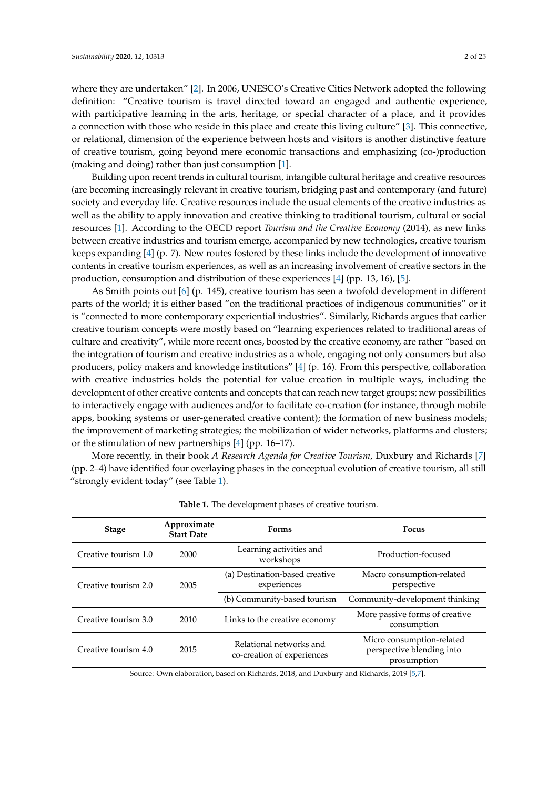where they are undertaken" [\[2\]](#page-20-1). In 2006, UNESCO's Creative Cities Network adopted the following definition: "Creative tourism is travel directed toward an engaged and authentic experience, with participative learning in the arts, heritage, or special character of a place, and it provides a connection with those who reside in this place and create this living culture" [\[3\]](#page-20-2). This connective, or relational, dimension of the experience between hosts and visitors is another distinctive feature of creative tourism, going beyond mere economic transactions and emphasizing (co-)production (making and doing) rather than just consumption [\[1\]](#page-20-0).

Building upon recent trends in cultural tourism, intangible cultural heritage and creative resources (are becoming increasingly relevant in creative tourism, bridging past and contemporary (and future) society and everyday life. Creative resources include the usual elements of the creative industries as well as the ability to apply innovation and creative thinking to traditional tourism, cultural or social resources [\[1\]](#page-20-0). According to the OECD report *Tourism and the Creative Economy* (2014), as new links between creative industries and tourism emerge, accompanied by new technologies, creative tourism keeps expanding [\[4\]](#page-20-3) (p. 7). New routes fostered by these links include the development of innovative contents in creative tourism experiences, as well as an increasing involvement of creative sectors in the production, consumption and distribution of these experiences [\[4\]](#page-20-3) (pp. 13, 16), [\[5\]](#page-20-4).

As Smith points out [\[6\]](#page-20-5) (p. 145), creative tourism has seen a twofold development in different parts of the world; it is either based "on the traditional practices of indigenous communities" or it is "connected to more contemporary experiential industries". Similarly, Richards argues that earlier creative tourism concepts were mostly based on "learning experiences related to traditional areas of culture and creativity", while more recent ones, boosted by the creative economy, are rather "based on the integration of tourism and creative industries as a whole, engaging not only consumers but also producers, policy makers and knowledge institutions" [\[4\]](#page-20-3) (p. 16). From this perspective, collaboration with creative industries holds the potential for value creation in multiple ways, including the development of other creative contents and concepts that can reach new target groups; new possibilities to interactively engage with audiences and/or to facilitate co-creation (for instance, through mobile apps, booking systems or user-generated creative content); the formation of new business models; the improvement of marketing strategies; the mobilization of wider networks, platforms and clusters; or the stimulation of new partnerships [\[4\]](#page-20-3) (pp. 16–17).

More recently, in their book *A Research Agenda for Creative Tourism*, Duxbury and Richards [\[7\]](#page-21-0) (pp. 2–4) have identified four overlaying phases in the conceptual evolution of creative tourism, all still "strongly evident today" (see Table [1\)](#page-1-0).

<span id="page-1-0"></span>

| <b>Stage</b>         | Approximate<br><b>Start Date</b> | <b>Forms</b>                                          | <b>Focus</b>                                                          |  |
|----------------------|----------------------------------|-------------------------------------------------------|-----------------------------------------------------------------------|--|
| Creative tourism 1.0 | 2000                             | Learning activities and<br>workshops                  | Production-focused                                                    |  |
| Creative tourism 2.0 | 2005                             | (a) Destination-based creative<br>experiences         | Macro consumption-related<br>perspective                              |  |
|                      |                                  | (b) Community-based tourism                           | Community-development thinking                                        |  |
| Creative tourism 3.0 | 2010                             | Links to the creative economy                         | More passive forms of creative<br>consumption                         |  |
| Creative tourism 4.0 | 2015                             | Relational networks and<br>co-creation of experiences | Micro consumption-related<br>perspective blending into<br>prosumption |  |

**Table 1.** The development phases of creative tourism.

Source: Own elaboration, based on Richards, 2018, and Duxbury and Richards, 2019 [\[5](#page-20-4)[,7\]](#page-21-0).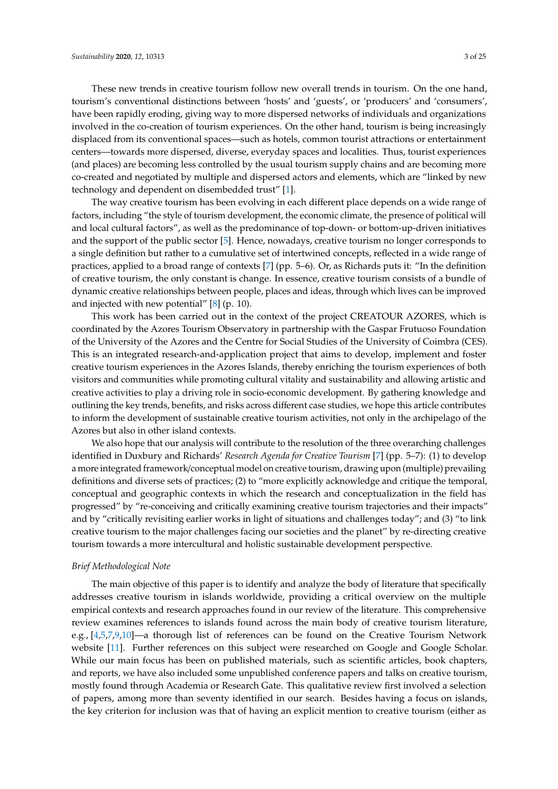These new trends in creative tourism follow new overall trends in tourism. On the one hand, tourism's conventional distinctions between 'hosts' and 'guests', or 'producers' and 'consumers', have been rapidly eroding, giving way to more dispersed networks of individuals and organizations involved in the co-creation of tourism experiences. On the other hand, tourism is being increasingly displaced from its conventional spaces—such as hotels, common tourist attractions or entertainment centers—towards more dispersed, diverse, everyday spaces and localities. Thus, tourist experiences (and places) are becoming less controlled by the usual tourism supply chains and are becoming more co-created and negotiated by multiple and dispersed actors and elements, which are "linked by new technology and dependent on disembedded trust" [\[1\]](#page-20-0).

The way creative tourism has been evolving in each different place depends on a wide range of factors, including "the style of tourism development, the economic climate, the presence of political will and local cultural factors", as well as the predominance of top-down- or bottom-up-driven initiatives and the support of the public sector [\[5\]](#page-20-4). Hence, nowadays, creative tourism no longer corresponds to a single definition but rather to a cumulative set of intertwined concepts, reflected in a wide range of practices, applied to a broad range of contexts [\[7\]](#page-21-0) (pp. 5–6). Or, as Richards puts it: "In the definition of creative tourism, the only constant is change. In essence, creative tourism consists of a bundle of dynamic creative relationships between people, places and ideas, through which lives can be improved and injected with new potential" [\[8\]](#page-21-1) (p. 10).

This work has been carried out in the context of the project CREATOUR AZORES, which is coordinated by the Azores Tourism Observatory in partnership with the Gaspar Frutuoso Foundation of the University of the Azores and the Centre for Social Studies of the University of Coimbra (CES). This is an integrated research-and-application project that aims to develop, implement and foster creative tourism experiences in the Azores Islands, thereby enriching the tourism experiences of both visitors and communities while promoting cultural vitality and sustainability and allowing artistic and creative activities to play a driving role in socio-economic development. By gathering knowledge and outlining the key trends, benefits, and risks across different case studies, we hope this article contributes to inform the development of sustainable creative tourism activities, not only in the archipelago of the Azores but also in other island contexts.

We also hope that our analysis will contribute to the resolution of the three overarching challenges identified in Duxbury and Richards' *Research Agenda for Creative Tourism* [\[7\]](#page-21-0) (pp. 5–7): (1) to develop a more integrated framework/conceptual model on creative tourism, drawing upon (multiple) prevailing definitions and diverse sets of practices; (2) to "more explicitly acknowledge and critique the temporal, conceptual and geographic contexts in which the research and conceptualization in the field has progressed" by "re-conceiving and critically examining creative tourism trajectories and their impacts" and by "critically revisiting earlier works in light of situations and challenges today"; and (3) "to link creative tourism to the major challenges facing our societies and the planet" by re-directing creative tourism towards a more intercultural and holistic sustainable development perspective.

#### *Brief Methodological Note*

The main objective of this paper is to identify and analyze the body of literature that specifically addresses creative tourism in islands worldwide, providing a critical overview on the multiple empirical contexts and research approaches found in our review of the literature. This comprehensive review examines references to islands found across the main body of creative tourism literature, e.g., [\[4,](#page-20-3)[5,](#page-20-4)[7,](#page-21-0)[9,](#page-21-2)[10\]](#page-21-3)—a thorough list of references can be found on the Creative Tourism Network website [\[11\]](#page-21-4). Further references on this subject were researched on Google and Google Scholar. While our main focus has been on published materials, such as scientific articles, book chapters, and reports, we have also included some unpublished conference papers and talks on creative tourism, mostly found through Academia or Research Gate. This qualitative review first involved a selection of papers, among more than seventy identified in our search. Besides having a focus on islands, the key criterion for inclusion was that of having an explicit mention to creative tourism (either as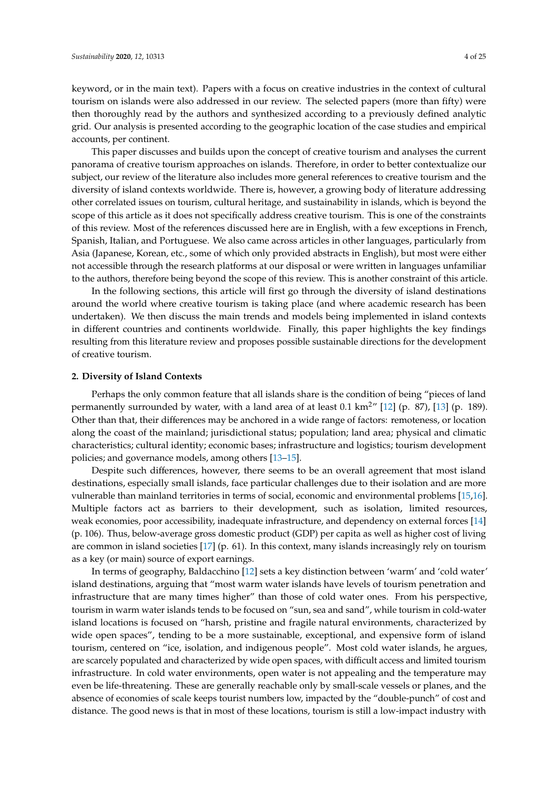keyword, or in the main text). Papers with a focus on creative industries in the context of cultural tourism on islands were also addressed in our review. The selected papers (more than fifty) were then thoroughly read by the authors and synthesized according to a previously defined analytic grid. Our analysis is presented according to the geographic location of the case studies and empirical accounts, per continent.

This paper discusses and builds upon the concept of creative tourism and analyses the current panorama of creative tourism approaches on islands. Therefore, in order to better contextualize our subject, our review of the literature also includes more general references to creative tourism and the diversity of island contexts worldwide. There is, however, a growing body of literature addressing other correlated issues on tourism, cultural heritage, and sustainability in islands, which is beyond the scope of this article as it does not specifically address creative tourism. This is one of the constraints of this review. Most of the references discussed here are in English, with a few exceptions in French, Spanish, Italian, and Portuguese. We also came across articles in other languages, particularly from Asia (Japanese, Korean, etc., some of which only provided abstracts in English), but most were either not accessible through the research platforms at our disposal or were written in languages unfamiliar to the authors, therefore being beyond the scope of this review. This is another constraint of this article.

In the following sections, this article will first go through the diversity of island destinations around the world where creative tourism is taking place (and where academic research has been undertaken). We then discuss the main trends and models being implemented in island contexts in different countries and continents worldwide. Finally, this paper highlights the key findings resulting from this literature review and proposes possible sustainable directions for the development of creative tourism.

#### <span id="page-3-0"></span>**2. Diversity of Island Contexts**

Perhaps the only common feature that all islands share is the condition of being "pieces of land permanently surrounded by water, with a land area of at least 0.1 km<sup>2</sup> $^{\prime\prime}$  [\[12\]](#page-21-5) (p. 87), [\[13\]](#page-21-6) (p. 189). Other than that, their differences may be anchored in a wide range of factors: remoteness, or location along the coast of the mainland; jurisdictional status; population; land area; physical and climatic characteristics; cultural identity; economic bases; infrastructure and logistics; tourism development policies; and governance models, among others [\[13](#page-21-6)[–15\]](#page-21-7).

Despite such differences, however, there seems to be an overall agreement that most island destinations, especially small islands, face particular challenges due to their isolation and are more vulnerable than mainland territories in terms of social, economic and environmental problems [\[15,](#page-21-7)[16\]](#page-21-8). Multiple factors act as barriers to their development, such as isolation, limited resources, weak economies, poor accessibility, inadequate infrastructure, and dependency on external forces [\[14\]](#page-21-9) (p. 106). Thus, below-average gross domestic product (GDP) per capita as well as higher cost of living are common in island societies [\[17\]](#page-21-10) (p. 61). In this context, many islands increasingly rely on tourism as a key (or main) source of export earnings.

In terms of geography, Baldacchino [\[12\]](#page-21-5) sets a key distinction between 'warm' and 'cold water' island destinations, arguing that "most warm water islands have levels of tourism penetration and infrastructure that are many times higher" than those of cold water ones. From his perspective, tourism in warm water islands tends to be focused on "sun, sea and sand", while tourism in cold-water island locations is focused on "harsh, pristine and fragile natural environments, characterized by wide open spaces", tending to be a more sustainable, exceptional, and expensive form of island tourism, centered on "ice, isolation, and indigenous people". Most cold water islands, he argues, are scarcely populated and characterized by wide open spaces, with difficult access and limited tourism infrastructure. In cold water environments, open water is not appealing and the temperature may even be life-threatening. These are generally reachable only by small-scale vessels or planes, and the absence of economies of scale keeps tourist numbers low, impacted by the "double-punch" of cost and distance. The good news is that in most of these locations, tourism is still a low-impact industry with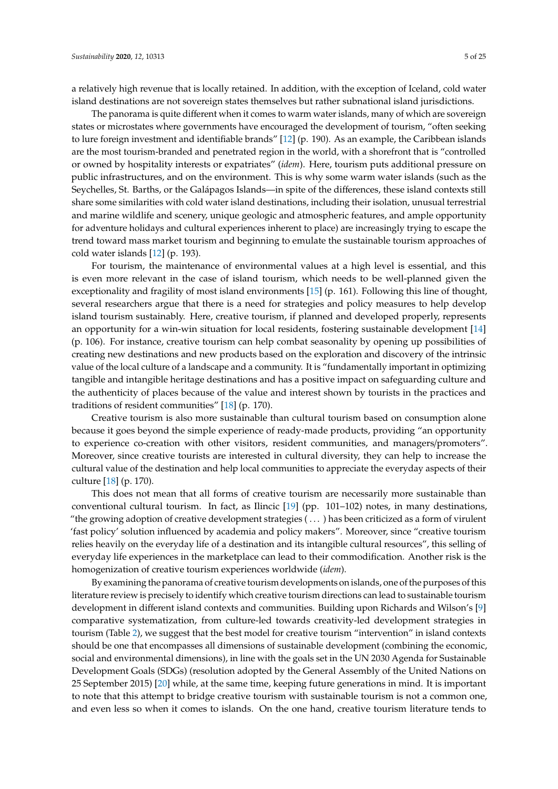a relatively high revenue that is locally retained. In addition, with the exception of Iceland, cold water island destinations are not sovereign states themselves but rather subnational island jurisdictions.

The panorama is quite different when it comes to warm water islands, many of which are sovereign states or microstates where governments have encouraged the development of tourism, "often seeking to lure foreign investment and identifiable brands" [\[12\]](#page-21-5) (p. 190). As an example, the Caribbean islands are the most tourism-branded and penetrated region in the world, with a shorefront that is "controlled or owned by hospitality interests or expatriates" (*idem*). Here, tourism puts additional pressure on public infrastructures, and on the environment. This is why some warm water islands (such as the Seychelles, St. Barths, or the Galápagos Islands—in spite of the differences, these island contexts still share some similarities with cold water island destinations, including their isolation, unusual terrestrial and marine wildlife and scenery, unique geologic and atmospheric features, and ample opportunity for adventure holidays and cultural experiences inherent to place) are increasingly trying to escape the trend toward mass market tourism and beginning to emulate the sustainable tourism approaches of cold water islands [\[12\]](#page-21-5) (p. 193).

For tourism, the maintenance of environmental values at a high level is essential, and this is even more relevant in the case of island tourism, which needs to be well-planned given the exceptionality and fragility of most island environments [\[15\]](#page-21-7) (p. 161). Following this line of thought, several researchers argue that there is a need for strategies and policy measures to help develop island tourism sustainably. Here, creative tourism, if planned and developed properly, represents an opportunity for a win-win situation for local residents, fostering sustainable development [\[14\]](#page-21-9) (p. 106). For instance, creative tourism can help combat seasonality by opening up possibilities of creating new destinations and new products based on the exploration and discovery of the intrinsic value of the local culture of a landscape and a community. It is "fundamentally important in optimizing tangible and intangible heritage destinations and has a positive impact on safeguarding culture and the authenticity of places because of the value and interest shown by tourists in the practices and traditions of resident communities" [\[18\]](#page-21-11) (p. 170).

Creative tourism is also more sustainable than cultural tourism based on consumption alone because it goes beyond the simple experience of ready-made products, providing "an opportunity to experience co-creation with other visitors, resident communities, and managers/promoters". Moreover, since creative tourists are interested in cultural diversity, they can help to increase the cultural value of the destination and help local communities to appreciate the everyday aspects of their culture [\[18\]](#page-21-11) (p. 170).

This does not mean that all forms of creative tourism are necessarily more sustainable than conventional cultural tourism. In fact, as Ilincic [\[19\]](#page-21-12) (pp. 101–102) notes, in many destinations, "the growing adoption of creative development strategies ( . . . ) has been criticized as a form of virulent 'fast policy' solution influenced by academia and policy makers". Moreover, since "creative tourism relies heavily on the everyday life of a destination and its intangible cultural resources", this selling of everyday life experiences in the marketplace can lead to their commodification. Another risk is the homogenization of creative tourism experiences worldwide (*idem*).

By examining the panorama of creative tourism developments on islands, one of the purposes of this literature review is precisely to identify which creative tourism directions can lead to sustainable tourism development in different island contexts and communities. Building upon Richards and Wilson's [\[9\]](#page-21-2) comparative systematization, from culture-led towards creativity-led development strategies in tourism (Table [2\)](#page-5-0), we suggest that the best model for creative tourism "intervention" in island contexts should be one that encompasses all dimensions of sustainable development (combining the economic, social and environmental dimensions), in line with the goals set in the UN 2030 Agenda for Sustainable Development Goals (SDGs) (resolution adopted by the General Assembly of the United Nations on 25 September 2015) [\[20\]](#page-21-13) while, at the same time, keeping future generations in mind. It is important to note that this attempt to bridge creative tourism with sustainable tourism is not a common one, and even less so when it comes to islands. On the one hand, creative tourism literature tends to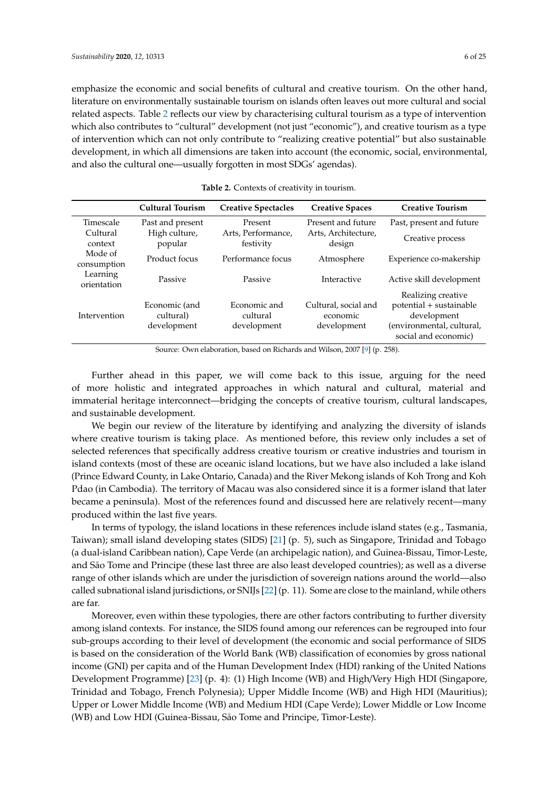emphasize the economic and social benefits of cultural and creative tourism. On the other hand, literature on environmentally sustainable tourism on islands often leaves out more cultural and social related aspects. Table [2](#page-5-0) reflects our view by characterising cultural tourism as a type of intervention which also contributes to "cultural" development (not just "economic"), and creative tourism as a type of intervention which can not only contribute to "realizing creative potential" but also sustainable development, in which all dimensions are taken into account (the economic, social, environmental, and also the cultural one—usually forgotten in most SDGs' agendas).

<span id="page-5-0"></span>

|                         | <b>Cultural Tourism</b>                   | <b>Creative Spectacles</b>              | <b>Creative Spaces</b>                          | <b>Creative Tourism</b>                                                                                           |
|-------------------------|-------------------------------------------|-----------------------------------------|-------------------------------------------------|-------------------------------------------------------------------------------------------------------------------|
| Timescale               | Past and present                          | Present                                 | Present and future                              | Past, present and future                                                                                          |
| Cultural<br>context     | High culture,<br>popular                  | Arts, Performance,<br>festivity         | Arts, Architecture,<br>design                   | Creative process                                                                                                  |
| Mode of<br>consumption  | Product focus                             | Performance focus                       | Atmosphere                                      | Experience co-makership                                                                                           |
| Learning<br>orientation | Passive                                   | Passive                                 | Interactive                                     | Active skill development                                                                                          |
| Intervention            | Economic (and<br>cultural)<br>development | Economic and<br>cultural<br>development | Cultural, social and<br>economic<br>development | Realizing creative<br>potential + sustainable<br>development<br>(environmental, cultural,<br>social and economic) |

## **Table 2.** Contexts of creativity in tourism.

Source: Own elaboration, based on Richards and Wilson, 2007 [\[9\]](#page-21-2) (p. 258).

Further ahead in this paper, we will come back to this issue, arguing for the need of more holistic and integrated approaches in which natural and cultural, material and immaterial heritage interconnect—bridging the concepts of creative tourism, cultural landscapes, and sustainable development.

We begin our review of the literature by identifying and analyzing the diversity of islands where creative tourism is taking place. As mentioned before, this review only includes a set of selected references that specifically address creative tourism or creative industries and tourism in island contexts (most of these are oceanic island locations, but we have also included a lake island (Prince Edward County, in Lake Ontario, Canada) and the River Mekong islands of Koh Trong and Koh Pdao (in Cambodia). The territory of Macau was also considered since it is a former island that later became a peninsula). Most of the references found and discussed here are relatively recent—many produced within the last five years.

In terms of typology, the island locations in these references include island states (e.g., Tasmania, Taiwan); small island developing states (SIDS) [\[21\]](#page-21-14) (p. 5), such as Singapore, Trinidad and Tobago (a dual-island Caribbean nation), Cape Verde (an archipelagic nation), and Guinea-Bissau, Timor-Leste, and São Tome and Principe (these last three are also least developed countries); as well as a diverse range of other islands which are under the jurisdiction of sovereign nations around the world—also called subnational island jurisdictions, or SNIJs [\[22\]](#page-21-15) (p. 11). Some are close to the mainland, while others are far.

Moreover, even within these typologies, there are other factors contributing to further diversity among island contexts. For instance, the SIDS found among our references can be regrouped into four sub-groups according to their level of development (the economic and social performance of SIDS is based on the consideration of the World Bank (WB) classification of economies by gross national income (GNI) per capita and of the Human Development Index (HDI) ranking of the United Nations Development Programme) [\[23\]](#page-21-16) (p. 4): (1) High Income (WB) and High/Very High HDI (Singapore, Trinidad and Tobago, French Polynesia); Upper Middle Income (WB) and High HDI (Mauritius); Upper or Lower Middle Income (WB) and Medium HDI (Cape Verde); Lower Middle or Low Income (WB) and Low HDI (Guinea-Bissau, São Tome and Principe, Timor-Leste).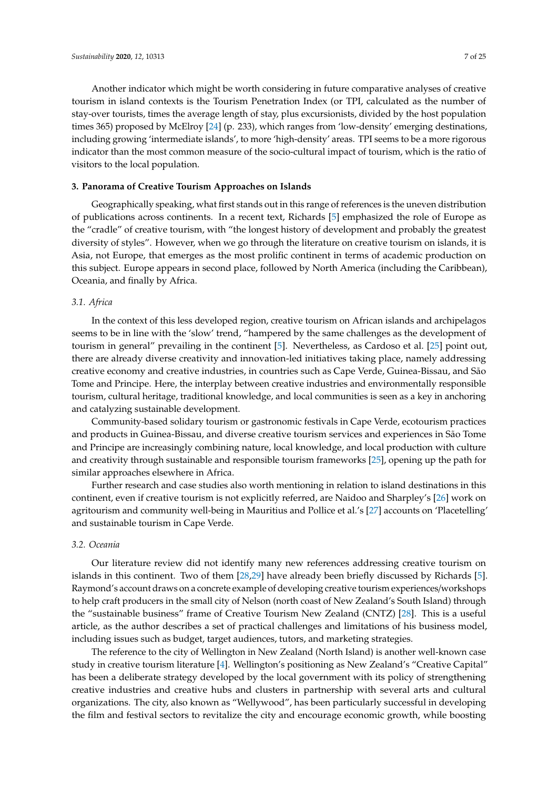Another indicator which might be worth considering in future comparative analyses of creative tourism in island contexts is the Tourism Penetration Index (or TPI, calculated as the number of stay-over tourists, times the average length of stay, plus excursionists, divided by the host population times 365) proposed by McElroy [\[24\]](#page-21-17) (p. 233), which ranges from 'low-density' emerging destinations, including growing 'intermediate islands', to more 'high-density' areas. TPI seems to be a more rigorous indicator than the most common measure of the socio-cultural impact of tourism, which is the ratio of visitors to the local population.

#### <span id="page-6-0"></span>**3. Panorama of Creative Tourism Approaches on Islands**

Geographically speaking, what first stands out in this range of references is the uneven distribution of publications across continents. In a recent text, Richards [\[5\]](#page-20-4) emphasized the role of Europe as the "cradle" of creative tourism, with "the longest history of development and probably the greatest diversity of styles". However, when we go through the literature on creative tourism on islands, it is Asia, not Europe, that emerges as the most prolific continent in terms of academic production on this subject. Europe appears in second place, followed by North America (including the Caribbean), Oceania, and finally by Africa.

## *3.1. Africa*

In the context of this less developed region, creative tourism on African islands and archipelagos seems to be in line with the 'slow' trend, "hampered by the same challenges as the development of tourism in general" prevailing in the continent [\[5\]](#page-20-4). Nevertheless, as Cardoso et al. [\[25\]](#page-21-18) point out, there are already diverse creativity and innovation-led initiatives taking place, namely addressing creative economy and creative industries, in countries such as Cape Verde, Guinea-Bissau, and São Tome and Principe. Here, the interplay between creative industries and environmentally responsible tourism, cultural heritage, traditional knowledge, and local communities is seen as a key in anchoring and catalyzing sustainable development.

Community-based solidary tourism or gastronomic festivals in Cape Verde, ecotourism practices and products in Guinea-Bissau, and diverse creative tourism services and experiences in São Tome and Principe are increasingly combining nature, local knowledge, and local production with culture and creativity through sustainable and responsible tourism frameworks [\[25\]](#page-21-18), opening up the path for similar approaches elsewhere in Africa.

Further research and case studies also worth mentioning in relation to island destinations in this continent, even if creative tourism is not explicitly referred, are Naidoo and Sharpley's [\[26\]](#page-21-19) work on agritourism and community well-being in Mauritius and Pollice et al.'s [\[27\]](#page-21-20) accounts on 'Placetelling' and sustainable tourism in Cape Verde.

#### *3.2. Oceania*

Our literature review did not identify many new references addressing creative tourism on islands in this continent. Two of them [\[28,](#page-21-21)[29\]](#page-21-22) have already been briefly discussed by Richards [\[5\]](#page-20-4). Raymond's account draws on a concrete example of developing creative tourism experiences/workshops to help craft producers in the small city of Nelson (north coast of New Zealand's South Island) through the "sustainable business" frame of Creative Tourism New Zealand (CNTZ) [\[28\]](#page-21-21). This is a useful article, as the author describes a set of practical challenges and limitations of his business model, including issues such as budget, target audiences, tutors, and marketing strategies.

The reference to the city of Wellington in New Zealand (North Island) is another well-known case study in creative tourism literature [\[4\]](#page-20-3). Wellington's positioning as New Zealand's "Creative Capital" has been a deliberate strategy developed by the local government with its policy of strengthening creative industries and creative hubs and clusters in partnership with several arts and cultural organizations. The city, also known as "Wellywood", has been particularly successful in developing the film and festival sectors to revitalize the city and encourage economic growth, while boosting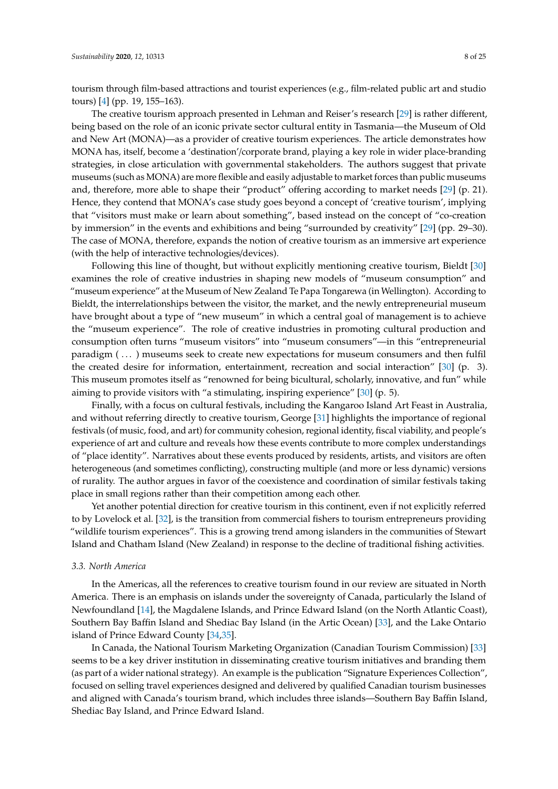tourism through film-based attractions and tourist experiences (e.g., film-related public art and studio tours) [\[4\]](#page-20-3) (pp. 19, 155–163).

The creative tourism approach presented in Lehman and Reiser's research [\[29\]](#page-21-22) is rather different, being based on the role of an iconic private sector cultural entity in Tasmania—the Museum of Old and New Art (MONA)—as a provider of creative tourism experiences. The article demonstrates how MONA has, itself, become a 'destination'/corporate brand, playing a key role in wider place-branding strategies, in close articulation with governmental stakeholders. The authors suggest that private museums (such as MONA) are more flexible and easily adjustable to market forces than public museums and, therefore, more able to shape their "product" offering according to market needs [\[29\]](#page-21-22) (p. 21). Hence, they contend that MONA's case study goes beyond a concept of 'creative tourism', implying that "visitors must make or learn about something", based instead on the concept of "co-creation by immersion" in the events and exhibitions and being "surrounded by creativity" [\[29\]](#page-21-22) (pp. 29–30). The case of MONA, therefore, expands the notion of creative tourism as an immersive art experience (with the help of interactive technologies/devices).

Following this line of thought, but without explicitly mentioning creative tourism, Bieldt [\[30\]](#page-22-0) examines the role of creative industries in shaping new models of "museum consumption" and "museum experience" at the Museum of New Zealand Te Papa Tongarewa (in Wellington). According to Bieldt, the interrelationships between the visitor, the market, and the newly entrepreneurial museum have brought about a type of "new museum" in which a central goal of management is to achieve the "museum experience". The role of creative industries in promoting cultural production and consumption often turns "museum visitors" into "museum consumers"—in this "entrepreneurial paradigm (...) museums seek to create new expectations for museum consumers and then fulfil the created desire for information, entertainment, recreation and social interaction" [\[30\]](#page-22-0) (p. 3). This museum promotes itself as "renowned for being bicultural, scholarly, innovative, and fun" while aiming to provide visitors with "a stimulating, inspiring experience" [\[30\]](#page-22-0) (p. 5).

Finally, with a focus on cultural festivals, including the Kangaroo Island Art Feast in Australia, and without referring directly to creative tourism, George [\[31\]](#page-22-1) highlights the importance of regional festivals (of music, food, and art) for community cohesion, regional identity, fiscal viability, and people's experience of art and culture and reveals how these events contribute to more complex understandings of "place identity". Narratives about these events produced by residents, artists, and visitors are often heterogeneous (and sometimes conflicting), constructing multiple (and more or less dynamic) versions of rurality. The author argues in favor of the coexistence and coordination of similar festivals taking place in small regions rather than their competition among each other.

Yet another potential direction for creative tourism in this continent, even if not explicitly referred to by Lovelock et al. [\[32\]](#page-22-2), is the transition from commercial fishers to tourism entrepreneurs providing "wildlife tourism experiences". This is a growing trend among islanders in the communities of Stewart Island and Chatham Island (New Zealand) in response to the decline of traditional fishing activities.

#### *3.3. North America*

In the Americas, all the references to creative tourism found in our review are situated in North America. There is an emphasis on islands under the sovereignty of Canada, particularly the Island of Newfoundland [\[14\]](#page-21-9), the Magdalene Islands, and Prince Edward Island (on the North Atlantic Coast), Southern Bay Baffin Island and Shediac Bay Island (in the Artic Ocean) [\[33\]](#page-22-3), and the Lake Ontario island of Prince Edward County [\[34,](#page-22-4)[35\]](#page-22-5).

In Canada, the National Tourism Marketing Organization (Canadian Tourism Commission) [\[33\]](#page-22-3) seems to be a key driver institution in disseminating creative tourism initiatives and branding them (as part of a wider national strategy). An example is the publication "Signature Experiences Collection", focused on selling travel experiences designed and delivered by qualified Canadian tourism businesses and aligned with Canada's tourism brand, which includes three islands—Southern Bay Baffin Island, Shediac Bay Island, and Prince Edward Island.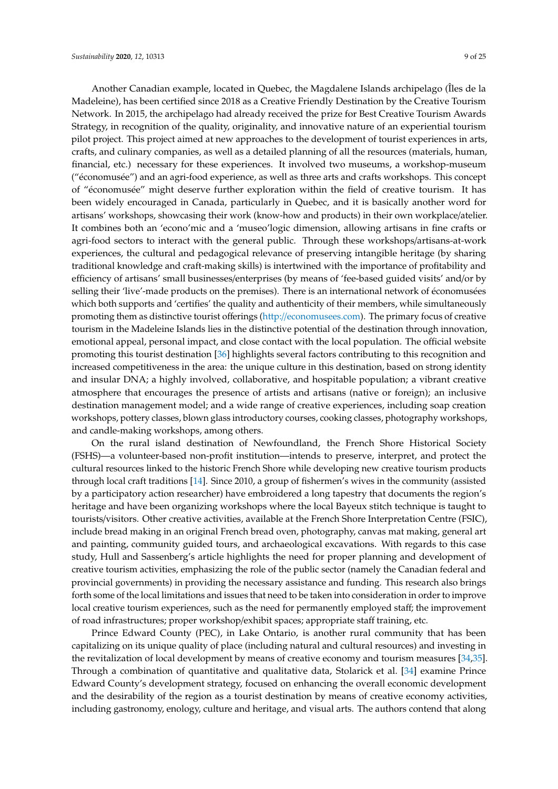Another Canadian example, located in Quebec, the Magdalene Islands archipelago (Îles de la Madeleine), has been certified since 2018 as a Creative Friendly Destination by the Creative Tourism Network. In 2015, the archipelago had already received the prize for Best Creative Tourism Awards Strategy, in recognition of the quality, originality, and innovative nature of an experiential tourism pilot project. This project aimed at new approaches to the development of tourist experiences in arts, crafts, and culinary companies, as well as a detailed planning of all the resources (materials, human, financial, etc.) necessary for these experiences. It involved two museums, a workshop-museum ("économusée") and an agri-food experience, as well as three arts and crafts workshops. This concept of "économusée" might deserve further exploration within the field of creative tourism. It has been widely encouraged in Canada, particularly in Quebec, and it is basically another word for artisans' workshops, showcasing their work (know-how and products) in their own workplace/atelier. It combines both an 'econo'mic and a 'museo'logic dimension, allowing artisans in fine crafts or agri-food sectors to interact with the general public. Through these workshops/artisans-at-work experiences, the cultural and pedagogical relevance of preserving intangible heritage (by sharing traditional knowledge and craft-making skills) is intertwined with the importance of profitability and efficiency of artisans' small businesses/enterprises (by means of 'fee-based guided visits' and/or by selling their 'live'-made products on the premises). There is an international network of économusées which both supports and 'certifies' the quality and authenticity of their members, while simultaneously promoting them as distinctive tourist offerings (http://[economusees.com\)](http://economusees.com). The primary focus of creative tourism in the Madeleine Islands lies in the distinctive potential of the destination through innovation, emotional appeal, personal impact, and close contact with the local population. The official website promoting this tourist destination [\[36\]](#page-22-6) highlights several factors contributing to this recognition and increased competitiveness in the area: the unique culture in this destination, based on strong identity and insular DNA; a highly involved, collaborative, and hospitable population; a vibrant creative atmosphere that encourages the presence of artists and artisans (native or foreign); an inclusive destination management model; and a wide range of creative experiences, including soap creation workshops, pottery classes, blown glass introductory courses, cooking classes, photography workshops, and candle-making workshops, among others.

On the rural island destination of Newfoundland, the French Shore Historical Society (FSHS)—a volunteer-based non-profit institution—intends to preserve, interpret, and protect the cultural resources linked to the historic French Shore while developing new creative tourism products through local craft traditions [\[14\]](#page-21-9). Since 2010, a group of fishermen's wives in the community (assisted by a participatory action researcher) have embroidered a long tapestry that documents the region's heritage and have been organizing workshops where the local Bayeux stitch technique is taught to tourists/visitors. Other creative activities, available at the French Shore Interpretation Centre (FSIC), include bread making in an original French bread oven, photography, canvas mat making, general art and painting, community guided tours, and archaeological excavations. With regards to this case study, Hull and Sassenberg's article highlights the need for proper planning and development of creative tourism activities, emphasizing the role of the public sector (namely the Canadian federal and provincial governments) in providing the necessary assistance and funding. This research also brings forth some of the local limitations and issues that need to be taken into consideration in order to improve local creative tourism experiences, such as the need for permanently employed staff; the improvement of road infrastructures; proper workshop/exhibit spaces; appropriate staff training, etc.

Prince Edward County (PEC), in Lake Ontario, is another rural community that has been capitalizing on its unique quality of place (including natural and cultural resources) and investing in the revitalization of local development by means of creative economy and tourism measures [\[34,](#page-22-4)[35\]](#page-22-5). Through a combination of quantitative and qualitative data, Stolarick et al. [\[34\]](#page-22-4) examine Prince Edward County's development strategy, focused on enhancing the overall economic development and the desirability of the region as a tourist destination by means of creative economy activities, including gastronomy, enology, culture and heritage, and visual arts. The authors contend that along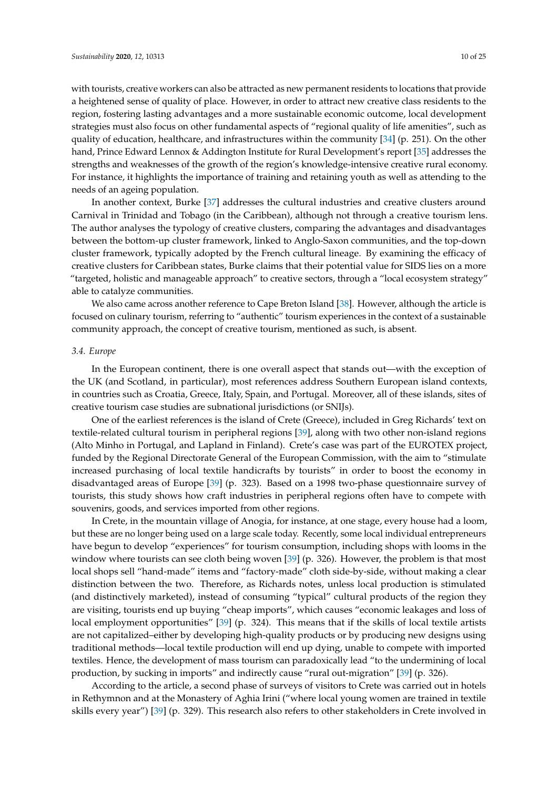with tourists, creative workers can also be attracted as new permanent residents to locations that provide a heightened sense of quality of place. However, in order to attract new creative class residents to the region, fostering lasting advantages and a more sustainable economic outcome, local development strategies must also focus on other fundamental aspects of "regional quality of life amenities", such as quality of education, healthcare, and infrastructures within the community [\[34\]](#page-22-4) (p. 251). On the other hand, Prince Edward Lennox & Addington Institute for Rural Development's report [\[35\]](#page-22-5) addresses the strengths and weaknesses of the growth of the region's knowledge-intensive creative rural economy. For instance, it highlights the importance of training and retaining youth as well as attending to the needs of an ageing population.

In another context, Burke [\[37\]](#page-22-7) addresses the cultural industries and creative clusters around Carnival in Trinidad and Tobago (in the Caribbean), although not through a creative tourism lens. The author analyses the typology of creative clusters, comparing the advantages and disadvantages between the bottom-up cluster framework, linked to Anglo-Saxon communities, and the top-down cluster framework, typically adopted by the French cultural lineage. By examining the efficacy of creative clusters for Caribbean states, Burke claims that their potential value for SIDS lies on a more "targeted, holistic and manageable approach" to creative sectors, through a "local ecosystem strategy" able to catalyze communities.

We also came across another reference to Cape Breton Island [\[38\]](#page-22-8). However, although the article is focused on culinary tourism, referring to "authentic" tourism experiences in the context of a sustainable community approach, the concept of creative tourism, mentioned as such, is absent.

#### *3.4. Europe*

In the European continent, there is one overall aspect that stands out—with the exception of the UK (and Scotland, in particular), most references address Southern European island contexts, in countries such as Croatia, Greece, Italy, Spain, and Portugal. Moreover, all of these islands, sites of creative tourism case studies are subnational jurisdictions (or SNIJs).

One of the earliest references is the island of Crete (Greece), included in Greg Richards' text on textile-related cultural tourism in peripheral regions [\[39\]](#page-22-9), along with two other non-island regions (Alto Minho in Portugal, and Lapland in Finland). Crete's case was part of the EUROTEX project, funded by the Regional Directorate General of the European Commission, with the aim to "stimulate increased purchasing of local textile handicrafts by tourists" in order to boost the economy in disadvantaged areas of Europe [\[39\]](#page-22-9) (p. 323). Based on a 1998 two-phase questionnaire survey of tourists, this study shows how craft industries in peripheral regions often have to compete with souvenirs, goods, and services imported from other regions.

In Crete, in the mountain village of Anogia, for instance, at one stage, every house had a loom, but these are no longer being used on a large scale today. Recently, some local individual entrepreneurs have begun to develop "experiences" for tourism consumption, including shops with looms in the window where tourists can see cloth being woven [\[39\]](#page-22-9) (p. 326). However, the problem is that most local shops sell "hand-made" items and "factory-made" cloth side-by-side, without making a clear distinction between the two. Therefore, as Richards notes, unless local production is stimulated (and distinctively marketed), instead of consuming "typical" cultural products of the region they are visiting, tourists end up buying "cheap imports", which causes "economic leakages and loss of local employment opportunities" [\[39\]](#page-22-9) (p. 324). This means that if the skills of local textile artists are not capitalized–either by developing high-quality products or by producing new designs using traditional methods—local textile production will end up dying, unable to compete with imported textiles. Hence, the development of mass tourism can paradoxically lead "to the undermining of local production, by sucking in imports" and indirectly cause "rural out-migration" [\[39\]](#page-22-9) (p. 326).

According to the article, a second phase of surveys of visitors to Crete was carried out in hotels in Rethymnon and at the Monastery of Aghia Irini ("where local young women are trained in textile skills every year") [\[39\]](#page-22-9) (p. 329). This research also refers to other stakeholders in Crete involved in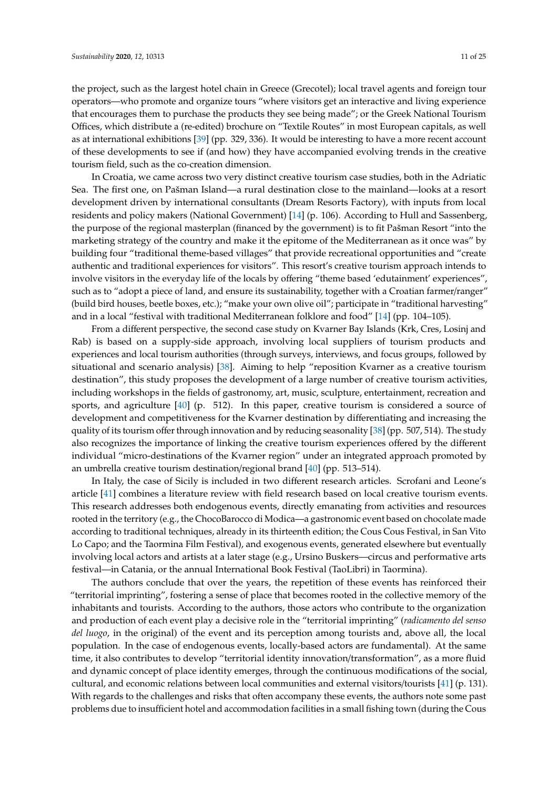the project, such as the largest hotel chain in Greece (Grecotel); local travel agents and foreign tour operators—who promote and organize tours "where visitors get an interactive and living experience that encourages them to purchase the products they see being made"; or the Greek National Tourism Offices, which distribute a (re-edited) brochure on "Textile Routes" in most European capitals, as well as at international exhibitions [\[39\]](#page-22-9) (pp. 329, 336). It would be interesting to have a more recent account of these developments to see if (and how) they have accompanied evolving trends in the creative tourism field, such as the co-creation dimension.

In Croatia, we came across two very distinct creative tourism case studies, both in the Adriatic Sea. The first one, on Pašman Island—a rural destination close to the mainland—looks at a resort development driven by international consultants (Dream Resorts Factory), with inputs from local residents and policy makers (National Government) [\[14\]](#page-21-9) (p. 106). According to Hull and Sassenberg, the purpose of the regional masterplan (financed by the government) is to fit Pašman Resort "into the marketing strategy of the country and make it the epitome of the Mediterranean as it once was" by building four "traditional theme-based villages" that provide recreational opportunities and "create authentic and traditional experiences for visitors". This resort's creative tourism approach intends to involve visitors in the everyday life of the locals by offering "theme based 'edutainment' experiences", such as to "adopt a piece of land, and ensure its sustainability, together with a Croatian farmer/ranger" (build bird houses, beetle boxes, etc.); "make your own olive oil"; participate in "traditional harvesting" and in a local "festival with traditional Mediterranean folklore and food" [\[14\]](#page-21-9) (pp. 104–105).

From a different perspective, the second case study on Kvarner Bay Islands (Krk, Cres, Losinj and Rab) is based on a supply-side approach, involving local suppliers of tourism products and experiences and local tourism authorities (through surveys, interviews, and focus groups, followed by situational and scenario analysis) [\[38\]](#page-22-8). Aiming to help "reposition Kvarner as a creative tourism destination", this study proposes the development of a large number of creative tourism activities, including workshops in the fields of gastronomy, art, music, sculpture, entertainment, recreation and sports, and agriculture [\[40\]](#page-22-10) (p. 512). In this paper, creative tourism is considered a source of development and competitiveness for the Kvarner destination by differentiating and increasing the quality of its tourism offer through innovation and by reducing seasonality [\[38\]](#page-22-8) (pp. 507, 514). The study also recognizes the importance of linking the creative tourism experiences offered by the different individual "micro-destinations of the Kvarner region" under an integrated approach promoted by an umbrella creative tourism destination/regional brand [\[40\]](#page-22-10) (pp. 513–514).

In Italy, the case of Sicily is included in two different research articles. Scrofani and Leone's article [\[41\]](#page-22-11) combines a literature review with field research based on local creative tourism events. This research addresses both endogenous events, directly emanating from activities and resources rooted in the territory (e.g., the ChocoBarocco di Modica—a gastronomic event based on chocolate made according to traditional techniques, already in its thirteenth edition; the Cous Cous Festival, in San Vito Lo Capo; and the Taormina Film Festival), and exogenous events, generated elsewhere but eventually involving local actors and artists at a later stage (e.g., Ursino Buskers—circus and performative arts festival—in Catania, or the annual International Book Festival (TaoLibri) in Taormina).

The authors conclude that over the years, the repetition of these events has reinforced their "territorial imprinting", fostering a sense of place that becomes rooted in the collective memory of the inhabitants and tourists. According to the authors, those actors who contribute to the organization and production of each event play a decisive role in the "territorial imprinting" (*radicamento del senso del luogo*, in the original) of the event and its perception among tourists and, above all, the local population. In the case of endogenous events, locally-based actors are fundamental). At the same time, it also contributes to develop "territorial identity innovation/transformation", as a more fluid and dynamic concept of place identity emerges, through the continuous modifications of the social, cultural, and economic relations between local communities and external visitors/tourists [\[41\]](#page-22-11) (p. 131). With regards to the challenges and risks that often accompany these events, the authors note some past problems due to insufficient hotel and accommodation facilities in a small fishing town (during the Cous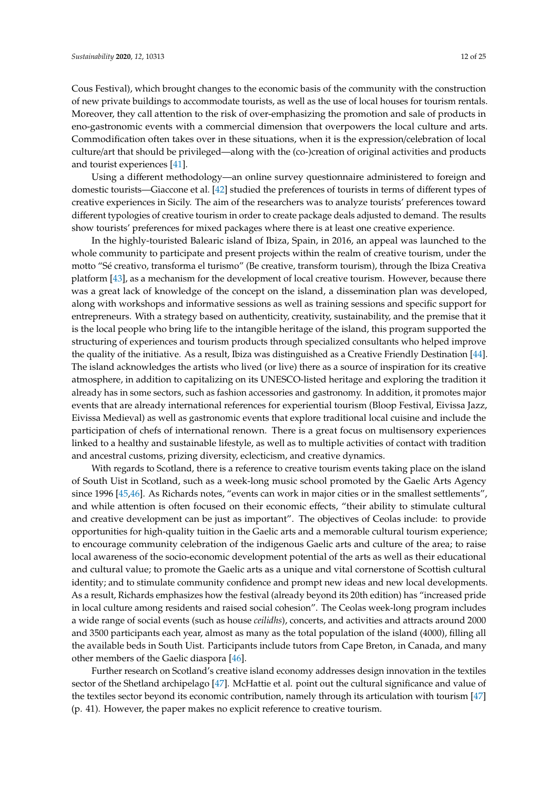Cous Festival), which brought changes to the economic basis of the community with the construction of new private buildings to accommodate tourists, as well as the use of local houses for tourism rentals. Moreover, they call attention to the risk of over-emphasizing the promotion and sale of products in eno-gastronomic events with a commercial dimension that overpowers the local culture and arts. Commodification often takes over in these situations, when it is the expression/celebration of local culture/art that should be privileged—along with the (co-)creation of original activities and products and tourist experiences [\[41\]](#page-22-11).

Using a different methodology—an online survey questionnaire administered to foreign and domestic tourists—Giaccone et al. [\[42\]](#page-22-12) studied the preferences of tourists in terms of different types of creative experiences in Sicily. The aim of the researchers was to analyze tourists' preferences toward different typologies of creative tourism in order to create package deals adjusted to demand. The results show tourists' preferences for mixed packages where there is at least one creative experience.

In the highly-touristed Balearic island of Ibiza, Spain, in 2016, an appeal was launched to the whole community to participate and present projects within the realm of creative tourism, under the motto "Sé creativo, transforma el turismo" (Be creative, transform tourism), through the Ibiza Creativa platform [\[43\]](#page-22-13), as a mechanism for the development of local creative tourism. However, because there was a great lack of knowledge of the concept on the island, a dissemination plan was developed, along with workshops and informative sessions as well as training sessions and specific support for entrepreneurs. With a strategy based on authenticity, creativity, sustainability, and the premise that it is the local people who bring life to the intangible heritage of the island, this program supported the structuring of experiences and tourism products through specialized consultants who helped improve the quality of the initiative. As a result, Ibiza was distinguished as a Creative Friendly Destination [\[44\]](#page-22-14). The island acknowledges the artists who lived (or live) there as a source of inspiration for its creative atmosphere, in addition to capitalizing on its UNESCO-listed heritage and exploring the tradition it already has in some sectors, such as fashion accessories and gastronomy. In addition, it promotes major events that are already international references for experiential tourism (Bloop Festival, Eivissa Jazz, Eivissa Medieval) as well as gastronomic events that explore traditional local cuisine and include the participation of chefs of international renown. There is a great focus on multisensory experiences linked to a healthy and sustainable lifestyle, as well as to multiple activities of contact with tradition and ancestral customs, prizing diversity, eclecticism, and creative dynamics.

With regards to Scotland, there is a reference to creative tourism events taking place on the island of South Uist in Scotland, such as a week-long music school promoted by the Gaelic Arts Agency since 1996 [\[45,](#page-22-15)[46\]](#page-22-16). As Richards notes, "events can work in major cities or in the smallest settlements", and while attention is often focused on their economic effects, "their ability to stimulate cultural and creative development can be just as important". The objectives of Ceolas include: to provide opportunities for high-quality tuition in the Gaelic arts and a memorable cultural tourism experience; to encourage community celebration of the indigenous Gaelic arts and culture of the area; to raise local awareness of the socio-economic development potential of the arts as well as their educational and cultural value; to promote the Gaelic arts as a unique and vital cornerstone of Scottish cultural identity; and to stimulate community confidence and prompt new ideas and new local developments. As a result, Richards emphasizes how the festival (already beyond its 20th edition) has "increased pride in local culture among residents and raised social cohesion". The Ceolas week-long program includes a wide range of social events (such as house *ceilidhs*), concerts, and activities and attracts around 2000 and 3500 participants each year, almost as many as the total population of the island (4000), filling all the available beds in South Uist. Participants include tutors from Cape Breton, in Canada, and many other members of the Gaelic diaspora [\[46\]](#page-22-16).

Further research on Scotland's creative island economy addresses design innovation in the textiles sector of the Shetland archipelago [\[47\]](#page-22-17). McHattie et al. point out the cultural significance and value of the textiles sector beyond its economic contribution, namely through its articulation with tourism [\[47\]](#page-22-17) (p. 41). However, the paper makes no explicit reference to creative tourism.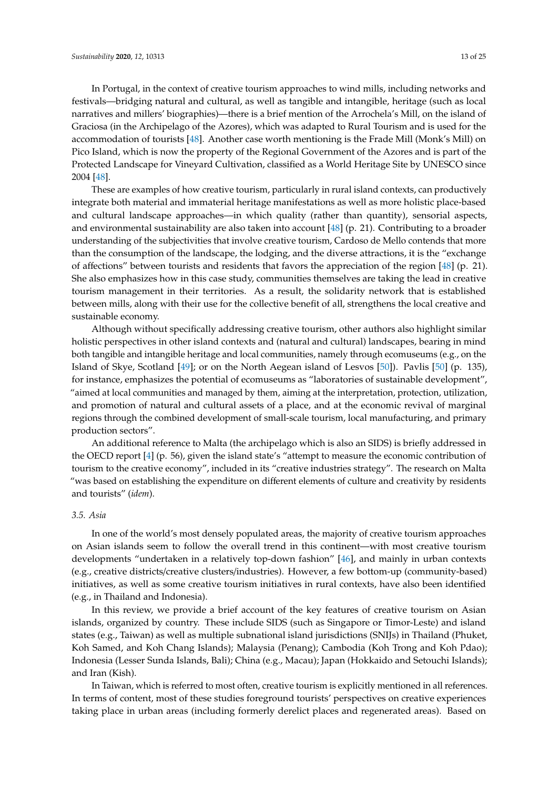In Portugal, in the context of creative tourism approaches to wind mills, including networks and festivals—bridging natural and cultural, as well as tangible and intangible, heritage (such as local narratives and millers' biographies)—there is a brief mention of the Arrochela's Mill, on the island of Graciosa (in the Archipelago of the Azores), which was adapted to Rural Tourism and is used for the accommodation of tourists [\[48\]](#page-22-18). Another case worth mentioning is the Frade Mill (Monk's Mill) on Pico Island, which is now the property of the Regional Government of the Azores and is part of the Protected Landscape for Vineyard Cultivation, classified as a World Heritage Site by UNESCO since 2004 [\[48\]](#page-22-18).

These are examples of how creative tourism, particularly in rural island contexts, can productively integrate both material and immaterial heritage manifestations as well as more holistic place-based and cultural landscape approaches—in which quality (rather than quantity), sensorial aspects, and environmental sustainability are also taken into account [\[48\]](#page-22-18) (p. 21). Contributing to a broader understanding of the subjectivities that involve creative tourism, Cardoso de Mello contends that more than the consumption of the landscape, the lodging, and the diverse attractions, it is the "exchange of affections" between tourists and residents that favors the appreciation of the region [\[48\]](#page-22-18) (p. 21). She also emphasizes how in this case study, communities themselves are taking the lead in creative tourism management in their territories. As a result, the solidarity network that is established between mills, along with their use for the collective benefit of all, strengthens the local creative and sustainable economy.

Although without specifically addressing creative tourism, other authors also highlight similar holistic perspectives in other island contexts and (natural and cultural) landscapes, bearing in mind both tangible and intangible heritage and local communities, namely through ecomuseums (e.g., on the Island of Skye, Scotland [\[49\]](#page-22-19); or on the North Aegean island of Lesvos [\[50\]](#page-22-20)). Pavlis [\[50\]](#page-22-20) (p. 135), for instance, emphasizes the potential of ecomuseums as "laboratories of sustainable development", "aimed at local communities and managed by them, aiming at the interpretation, protection, utilization, and promotion of natural and cultural assets of a place, and at the economic revival of marginal regions through the combined development of small-scale tourism, local manufacturing, and primary production sectors".

An additional reference to Malta (the archipelago which is also an SIDS) is briefly addressed in the OECD report [\[4\]](#page-20-3) (p. 56), given the island state's "attempt to measure the economic contribution of tourism to the creative economy", included in its "creative industries strategy". The research on Malta "was based on establishing the expenditure on different elements of culture and creativity by residents and tourists" (*idem*).

# *3.5. Asia*

In one of the world's most densely populated areas, the majority of creative tourism approaches on Asian islands seem to follow the overall trend in this continent—with most creative tourism developments "undertaken in a relatively top-down fashion" [\[46\]](#page-22-16), and mainly in urban contexts (e.g., creative districts/creative clusters/industries). However, a few bottom-up (community-based) initiatives, as well as some creative tourism initiatives in rural contexts, have also been identified (e.g., in Thailand and Indonesia).

In this review, we provide a brief account of the key features of creative tourism on Asian islands, organized by country. These include SIDS (such as Singapore or Timor-Leste) and island states (e.g., Taiwan) as well as multiple subnational island jurisdictions (SNIJs) in Thailand (Phuket, Koh Samed, and Koh Chang Islands); Malaysia (Penang); Cambodia (Koh Trong and Koh Pdao); Indonesia (Lesser Sunda Islands, Bali); China (e.g., Macau); Japan (Hokkaido and Setouchi Islands); and Iran (Kish).

In Taiwan, which is referred to most often, creative tourism is explicitly mentioned in all references. In terms of content, most of these studies foreground tourists' perspectives on creative experiences taking place in urban areas (including formerly derelict places and regenerated areas). Based on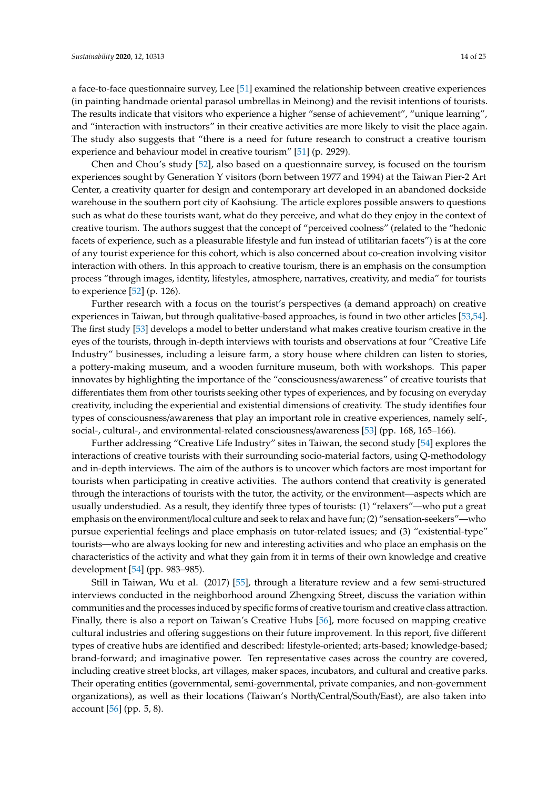a face-to-face questionnaire survey, Lee [\[51\]](#page-22-21) examined the relationship between creative experiences (in painting handmade oriental parasol umbrellas in Meinong) and the revisit intentions of tourists. The results indicate that visitors who experience a higher "sense of achievement", "unique learning", and "interaction with instructors" in their creative activities are more likely to visit the place again. The study also suggests that "there is a need for future research to construct a creative tourism experience and behaviour model in creative tourism" [\[51\]](#page-22-21) (p. 2929).

Chen and Chou's study [\[52\]](#page-22-22), also based on a questionnaire survey, is focused on the tourism experiences sought by Generation Y visitors (born between 1977 and 1994) at the Taiwan Pier-2 Art Center, a creativity quarter for design and contemporary art developed in an abandoned dockside warehouse in the southern port city of Kaohsiung. The article explores possible answers to questions such as what do these tourists want, what do they perceive, and what do they enjoy in the context of creative tourism. The authors suggest that the concept of "perceived coolness" (related to the "hedonic facets of experience, such as a pleasurable lifestyle and fun instead of utilitarian facets") is at the core of any tourist experience for this cohort, which is also concerned about co-creation involving visitor interaction with others. In this approach to creative tourism, there is an emphasis on the consumption process "through images, identity, lifestyles, atmosphere, narratives, creativity, and media" for tourists to experience [\[52\]](#page-22-22) (p. 126).

Further research with a focus on the tourist's perspectives (a demand approach) on creative experiences in Taiwan, but through qualitative-based approaches, is found in two other articles [\[53](#page-23-0)[,54\]](#page-23-1). The first study [\[53\]](#page-23-0) develops a model to better understand what makes creative tourism creative in the eyes of the tourists, through in-depth interviews with tourists and observations at four "Creative Life Industry" businesses, including a leisure farm, a story house where children can listen to stories, a pottery-making museum, and a wooden furniture museum, both with workshops. This paper innovates by highlighting the importance of the "consciousness/awareness" of creative tourists that differentiates them from other tourists seeking other types of experiences, and by focusing on everyday creativity, including the experiential and existential dimensions of creativity. The study identifies four types of consciousness/awareness that play an important role in creative experiences, namely self-, social-, cultural-, and environmental-related consciousness/awareness [\[53\]](#page-23-0) (pp. 168, 165–166).

Further addressing "Creative Life Industry" sites in Taiwan, the second study [\[54\]](#page-23-1) explores the interactions of creative tourists with their surrounding socio-material factors, using Q-methodology and in-depth interviews. The aim of the authors is to uncover which factors are most important for tourists when participating in creative activities. The authors contend that creativity is generated through the interactions of tourists with the tutor, the activity, or the environment—aspects which are usually understudied. As a result, they identify three types of tourists: (1) "relaxers"—who put a great emphasis on the environment/local culture and seek to relax and have fun; (2) "sensation-seekers"—who pursue experiential feelings and place emphasis on tutor-related issues; and (3) "existential-type" tourists—who are always looking for new and interesting activities and who place an emphasis on the characteristics of the activity and what they gain from it in terms of their own knowledge and creative development [\[54\]](#page-23-1) (pp. 983–985).

Still in Taiwan, Wu et al. (2017) [\[55\]](#page-23-2), through a literature review and a few semi-structured interviews conducted in the neighborhood around Zhengxing Street, discuss the variation within communities and the processes induced by specific forms of creative tourism and creative class attraction. Finally, there is also a report on Taiwan's Creative Hubs [\[56\]](#page-23-3), more focused on mapping creative cultural industries and offering suggestions on their future improvement. In this report, five different types of creative hubs are identified and described: lifestyle-oriented; arts-based; knowledge-based; brand-forward; and imaginative power. Ten representative cases across the country are covered, including creative street blocks, art villages, maker spaces, incubators, and cultural and creative parks. Their operating entities (governmental, semi-governmental, private companies, and non-government organizations), as well as their locations (Taiwan's North/Central/South/East), are also taken into account  $[56]$  (pp. 5, 8).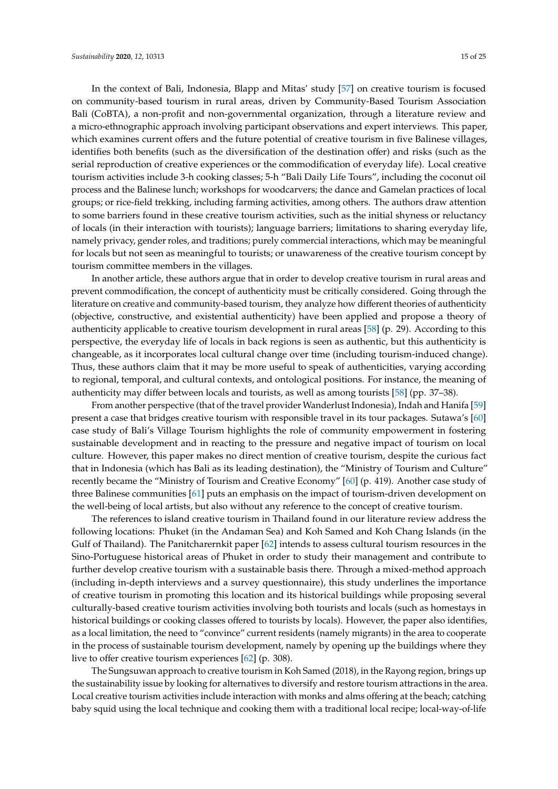In the context of Bali, Indonesia, Blapp and Mitas' study [\[57\]](#page-23-4) on creative tourism is focused on community-based tourism in rural areas, driven by Community-Based Tourism Association Bali (CoBTA), a non-profit and non-governmental organization, through a literature review and a micro-ethnographic approach involving participant observations and expert interviews. This paper, which examines current offers and the future potential of creative tourism in five Balinese villages, identifies both benefits (such as the diversification of the destination offer) and risks (such as the serial reproduction of creative experiences or the commodification of everyday life). Local creative tourism activities include 3-h cooking classes; 5-h "Bali Daily Life Tours", including the coconut oil process and the Balinese lunch; workshops for woodcarvers; the dance and Gamelan practices of local groups; or rice-field trekking, including farming activities, among others. The authors draw attention to some barriers found in these creative tourism activities, such as the initial shyness or reluctancy of locals (in their interaction with tourists); language barriers; limitations to sharing everyday life, namely privacy, gender roles, and traditions; purely commercial interactions, which may be meaningful for locals but not seen as meaningful to tourists; or unawareness of the creative tourism concept by tourism committee members in the villages.

In another article, these authors argue that in order to develop creative tourism in rural areas and prevent commodification, the concept of authenticity must be critically considered. Going through the literature on creative and community-based tourism, they analyze how different theories of authenticity (objective, constructive, and existential authenticity) have been applied and propose a theory of authenticity applicable to creative tourism development in rural areas [\[58\]](#page-23-5) (p. 29). According to this perspective, the everyday life of locals in back regions is seen as authentic, but this authenticity is changeable, as it incorporates local cultural change over time (including tourism-induced change). Thus, these authors claim that it may be more useful to speak of authenticities, varying according to regional, temporal, and cultural contexts, and ontological positions. For instance, the meaning of authenticity may differ between locals and tourists, as well as among tourists [\[58\]](#page-23-5) (pp. 37–38).

From another perspective (that of the travel provider Wanderlust Indonesia), Indah and Hanifa [\[59\]](#page-23-6) present a case that bridges creative tourism with responsible travel in its tour packages. Sutawa's [\[60\]](#page-23-7) case study of Bali's Village Tourism highlights the role of community empowerment in fostering sustainable development and in reacting to the pressure and negative impact of tourism on local culture. However, this paper makes no direct mention of creative tourism, despite the curious fact that in Indonesia (which has Bali as its leading destination), the "Ministry of Tourism and Culture" recently became the "Ministry of Tourism and Creative Economy" [\[60\]](#page-23-7) (p. 419). Another case study of three Balinese communities [\[61\]](#page-23-8) puts an emphasis on the impact of tourism-driven development on the well-being of local artists, but also without any reference to the concept of creative tourism.

The references to island creative tourism in Thailand found in our literature review address the following locations: Phuket (in the Andaman Sea) and Koh Samed and Koh Chang Islands (in the Gulf of Thailand). The Panitcharernkit paper [\[62\]](#page-23-9) intends to assess cultural tourism resources in the Sino-Portuguese historical areas of Phuket in order to study their management and contribute to further develop creative tourism with a sustainable basis there. Through a mixed-method approach (including in-depth interviews and a survey questionnaire), this study underlines the importance of creative tourism in promoting this location and its historical buildings while proposing several culturally-based creative tourism activities involving both tourists and locals (such as homestays in historical buildings or cooking classes offered to tourists by locals). However, the paper also identifies, as a local limitation, the need to "convince" current residents (namely migrants) in the area to cooperate in the process of sustainable tourism development, namely by opening up the buildings where they live to offer creative tourism experiences [\[62\]](#page-23-9) (p. 308).

The Sungsuwan approach to creative tourism in Koh Samed (2018), in the Rayong region, brings up the sustainability issue by looking for alternatives to diversify and restore tourism attractions in the area. Local creative tourism activities include interaction with monks and alms offering at the beach; catching baby squid using the local technique and cooking them with a traditional local recipe; local-way-of-life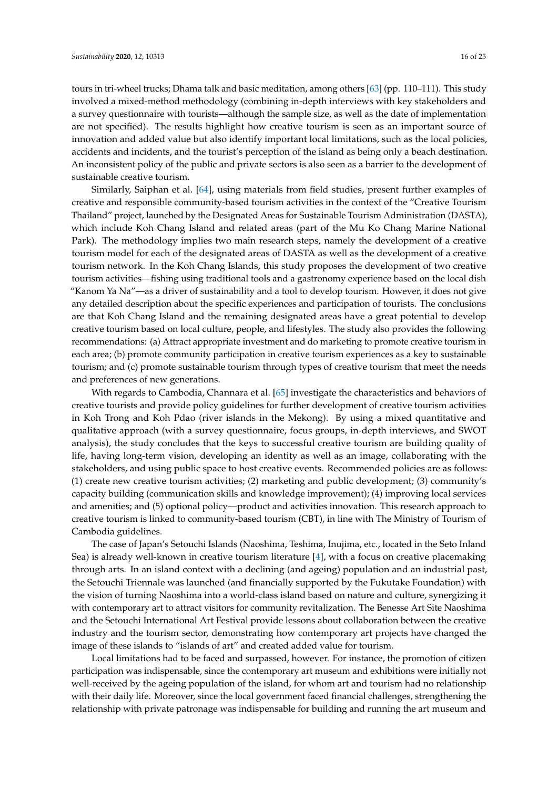tours in tri-wheel trucks; Dhama talk and basic meditation, among others [\[63\]](#page-23-10) (pp. 110–111). This study involved a mixed-method methodology (combining in-depth interviews with key stakeholders and a survey questionnaire with tourists—although the sample size, as well as the date of implementation are not specified). The results highlight how creative tourism is seen as an important source of innovation and added value but also identify important local limitations, such as the local policies, accidents and incidents, and the tourist's perception of the island as being only a beach destination. An inconsistent policy of the public and private sectors is also seen as a barrier to the development of sustainable creative tourism.

Similarly, Saiphan et al. [\[64\]](#page-23-11), using materials from field studies, present further examples of creative and responsible community-based tourism activities in the context of the "Creative Tourism Thailand" project, launched by the Designated Areas for Sustainable Tourism Administration (DASTA), which include Koh Chang Island and related areas (part of the Mu Ko Chang Marine National Park). The methodology implies two main research steps, namely the development of a creative tourism model for each of the designated areas of DASTA as well as the development of a creative tourism network. In the Koh Chang Islands, this study proposes the development of two creative tourism activities—fishing using traditional tools and a gastronomy experience based on the local dish "Kanom Ya Na"—as a driver of sustainability and a tool to develop tourism. However, it does not give any detailed description about the specific experiences and participation of tourists. The conclusions are that Koh Chang Island and the remaining designated areas have a great potential to develop creative tourism based on local culture, people, and lifestyles. The study also provides the following recommendations: (a) Attract appropriate investment and do marketing to promote creative tourism in each area; (b) promote community participation in creative tourism experiences as a key to sustainable tourism; and (c) promote sustainable tourism through types of creative tourism that meet the needs and preferences of new generations.

With regards to Cambodia, Channara et al. [\[65\]](#page-23-12) investigate the characteristics and behaviors of creative tourists and provide policy guidelines for further development of creative tourism activities in Koh Trong and Koh Pdao (river islands in the Mekong). By using a mixed quantitative and qualitative approach (with a survey questionnaire, focus groups, in-depth interviews, and SWOT analysis), the study concludes that the keys to successful creative tourism are building quality of life, having long-term vision, developing an identity as well as an image, collaborating with the stakeholders, and using public space to host creative events. Recommended policies are as follows: (1) create new creative tourism activities; (2) marketing and public development; (3) community's capacity building (communication skills and knowledge improvement); (4) improving local services and amenities; and (5) optional policy—product and activities innovation. This research approach to creative tourism is linked to community-based tourism (CBT), in line with The Ministry of Tourism of Cambodia guidelines.

The case of Japan's Setouchi Islands (Naoshima, Teshima, Inujima, etc., located in the Seto Inland Sea) is already well-known in creative tourism literature [\[4\]](#page-20-3), with a focus on creative placemaking through arts. In an island context with a declining (and ageing) population and an industrial past, the Setouchi Triennale was launched (and financially supported by the Fukutake Foundation) with the vision of turning Naoshima into a world-class island based on nature and culture, synergizing it with contemporary art to attract visitors for community revitalization. The Benesse Art Site Naoshima and the Setouchi International Art Festival provide lessons about collaboration between the creative industry and the tourism sector, demonstrating how contemporary art projects have changed the image of these islands to "islands of art" and created added value for tourism.

Local limitations had to be faced and surpassed, however. For instance, the promotion of citizen participation was indispensable, since the contemporary art museum and exhibitions were initially not well-received by the ageing population of the island, for whom art and tourism had no relationship with their daily life. Moreover, since the local government faced financial challenges, strengthening the relationship with private patronage was indispensable for building and running the art museum and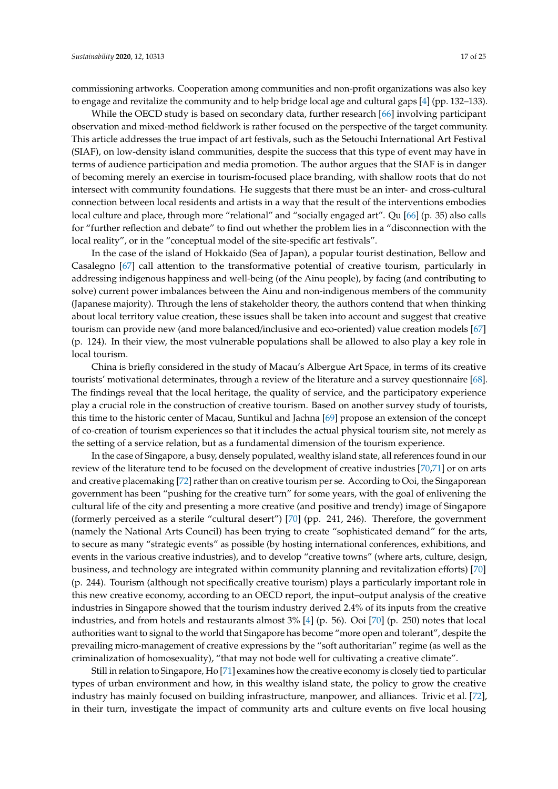commissioning artworks. Cooperation among communities and non-profit organizations was also key to engage and revitalize the community and to help bridge local age and cultural gaps [\[4\]](#page-20-3) (pp. 132–133).

While the OECD study is based on secondary data, further research [\[66\]](#page-23-13) involving participant observation and mixed-method fieldwork is rather focused on the perspective of the target community. This article addresses the true impact of art festivals, such as the Setouchi International Art Festival (SIAF), on low-density island communities, despite the success that this type of event may have in terms of audience participation and media promotion. The author argues that the SIAF is in danger of becoming merely an exercise in tourism-focused place branding, with shallow roots that do not intersect with community foundations. He suggests that there must be an inter- and cross-cultural connection between local residents and artists in a way that the result of the interventions embodies local culture and place, through more "relational" and "socially engaged art". Qu [\[66\]](#page-23-13) (p. 35) also calls for "further reflection and debate" to find out whether the problem lies in a "disconnection with the local reality", or in the "conceptual model of the site-specific art festivals".

In the case of the island of Hokkaido (Sea of Japan), a popular tourist destination, Bellow and Casalegno [\[67\]](#page-23-14) call attention to the transformative potential of creative tourism, particularly in addressing indigenous happiness and well-being (of the Ainu people), by facing (and contributing to solve) current power imbalances between the Ainu and non-indigenous members of the community (Japanese majority). Through the lens of stakeholder theory, the authors contend that when thinking about local territory value creation, these issues shall be taken into account and suggest that creative tourism can provide new (and more balanced/inclusive and eco-oriented) value creation models [\[67\]](#page-23-14) (p. 124). In their view, the most vulnerable populations shall be allowed to also play a key role in local tourism.

China is briefly considered in the study of Macau's Albergue Art Space, in terms of its creative tourists' motivational determinates, through a review of the literature and a survey questionnaire [\[68\]](#page-23-15). The findings reveal that the local heritage, the quality of service, and the participatory experience play a crucial role in the construction of creative tourism. Based on another survey study of tourists, this time to the historic center of Macau, Suntikul and Jachna [\[69\]](#page-23-16) propose an extension of the concept of co-creation of tourism experiences so that it includes the actual physical tourism site, not merely as the setting of a service relation, but as a fundamental dimension of the tourism experience.

In the case of Singapore, a busy, densely populated, wealthy island state, all references found in our review of the literature tend to be focused on the development of creative industries [\[70](#page-23-17)[,71\]](#page-23-18) or on arts and creative placemaking [\[72\]](#page-23-19) rather than on creative tourism per se. According to Ooi, the Singaporean government has been "pushing for the creative turn" for some years, with the goal of enlivening the cultural life of the city and presenting a more creative (and positive and trendy) image of Singapore (formerly perceived as a sterile "cultural desert") [\[70\]](#page-23-17) (pp. 241, 246). Therefore, the government (namely the National Arts Council) has been trying to create "sophisticated demand" for the arts, to secure as many "strategic events" as possible (by hosting international conferences, exhibitions, and events in the various creative industries), and to develop "creative towns" (where arts, culture, design, business, and technology are integrated within community planning and revitalization efforts) [\[70\]](#page-23-17) (p. 244). Tourism (although not specifically creative tourism) plays a particularly important role in this new creative economy, according to an OECD report, the input–output analysis of the creative industries in Singapore showed that the tourism industry derived 2.4% of its inputs from the creative industries, and from hotels and restaurants almost 3% [\[4\]](#page-20-3) (p. 56). Ooi [\[70\]](#page-23-17) (p. 250) notes that local authorities want to signal to the world that Singapore has become "more open and tolerant", despite the prevailing micro-management of creative expressions by the "soft authoritarian" regime (as well as the criminalization of homosexuality), "that may not bode well for cultivating a creative climate".

Still in relation to Singapore, Ho [\[71\]](#page-23-18) examines how the creative economy is closely tied to particular types of urban environment and how, in this wealthy island state, the policy to grow the creative industry has mainly focused on building infrastructure, manpower, and alliances. Trivic et al. [\[72\]](#page-23-19), in their turn, investigate the impact of community arts and culture events on five local housing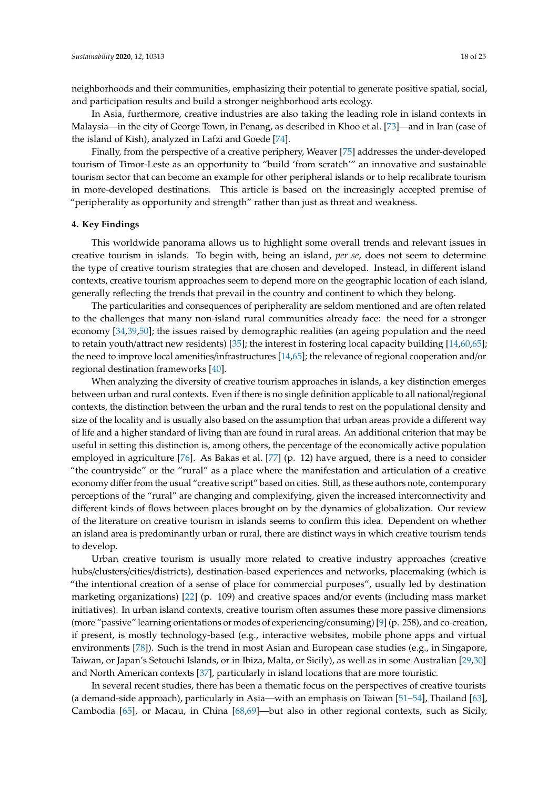neighborhoods and their communities, emphasizing their potential to generate positive spatial, social, and participation results and build a stronger neighborhood arts ecology.

In Asia, furthermore, creative industries are also taking the leading role in island contexts in Malaysia—in the city of George Town, in Penang, as described in Khoo et al. [\[73\]](#page-23-20)—and in Iran (case of the island of Kish), analyzed in Lafzi and Goede [\[74\]](#page-23-21).

Finally, from the perspective of a creative periphery, Weaver [\[75\]](#page-23-22) addresses the under-developed tourism of Timor-Leste as an opportunity to "build 'from scratch'" an innovative and sustainable tourism sector that can become an example for other peripheral islands or to help recalibrate tourism in more-developed destinations. This article is based on the increasingly accepted premise of "peripherality as opportunity and strength" rather than just as threat and weakness.

#### **4. Key Findings**

This worldwide panorama allows us to highlight some overall trends and relevant issues in creative tourism in islands. To begin with, being an island, *per se*, does not seem to determine the type of creative tourism strategies that are chosen and developed. Instead, in different island contexts, creative tourism approaches seem to depend more on the geographic location of each island, generally reflecting the trends that prevail in the country and continent to which they belong.

The particularities and consequences of peripherality are seldom mentioned and are often related to the challenges that many non-island rural communities already face: the need for a stronger economy [\[34,](#page-22-4)[39,](#page-22-9)[50\]](#page-22-20); the issues raised by demographic realities (an ageing population and the need to retain youth/attract new residents) [\[35\]](#page-22-5); the interest in fostering local capacity building [\[14,](#page-21-9)[60,](#page-23-7)[65\]](#page-23-12); the need to improve local amenities/infrastructures [\[14](#page-21-9)[,65\]](#page-23-12); the relevance of regional cooperation and/or regional destination frameworks [\[40\]](#page-22-10).

When analyzing the diversity of creative tourism approaches in islands, a key distinction emerges between urban and rural contexts. Even if there is no single definition applicable to all national/regional contexts, the distinction between the urban and the rural tends to rest on the populational density and size of the locality and is usually also based on the assumption that urban areas provide a different way of life and a higher standard of living than are found in rural areas. An additional criterion that may be useful in setting this distinction is, among others, the percentage of the economically active population employed in agriculture [\[76\]](#page-24-0). As Bakas et al. [\[77\]](#page-24-1) (p. 12) have argued, there is a need to consider "the countryside" or the "rural" as a place where the manifestation and articulation of a creative economy differ from the usual "creative script" based on cities. Still, as these authors note, contemporary perceptions of the "rural" are changing and complexifying, given the increased interconnectivity and different kinds of flows between places brought on by the dynamics of globalization. Our review of the literature on creative tourism in islands seems to confirm this idea. Dependent on whether an island area is predominantly urban or rural, there are distinct ways in which creative tourism tends to develop.

Urban creative tourism is usually more related to creative industry approaches (creative hubs/clusters/cities/districts), destination-based experiences and networks, placemaking (which is "the intentional creation of a sense of place for commercial purposes", usually led by destination marketing organizations) [\[22\]](#page-21-15) (p. 109) and creative spaces and/or events (including mass market initiatives). In urban island contexts, creative tourism often assumes these more passive dimensions (more "passive" learning orientations or modes of experiencing/consuming) [\[9\]](#page-21-2) (p. 258), and co-creation, if present, is mostly technology-based (e.g., interactive websites, mobile phone apps and virtual environments [\[78\]](#page-24-2)). Such is the trend in most Asian and European case studies (e.g., in Singapore, Taiwan, or Japan's Setouchi Islands, or in Ibiza, Malta, or Sicily), as well as in some Australian [\[29](#page-21-22)[,30\]](#page-22-0) and North American contexts [\[37\]](#page-22-7), particularly in island locations that are more touristic.

In several recent studies, there has been a thematic focus on the perspectives of creative tourists (a demand-side approach), particularly in Asia—with an emphasis on Taiwan [\[51](#page-22-21)[–54\]](#page-23-1), Thailand [\[63\]](#page-23-10), Cambodia [\[65\]](#page-23-12), or Macau, in China [\[68,](#page-23-15)[69\]](#page-23-16)—but also in other regional contexts, such as Sicily,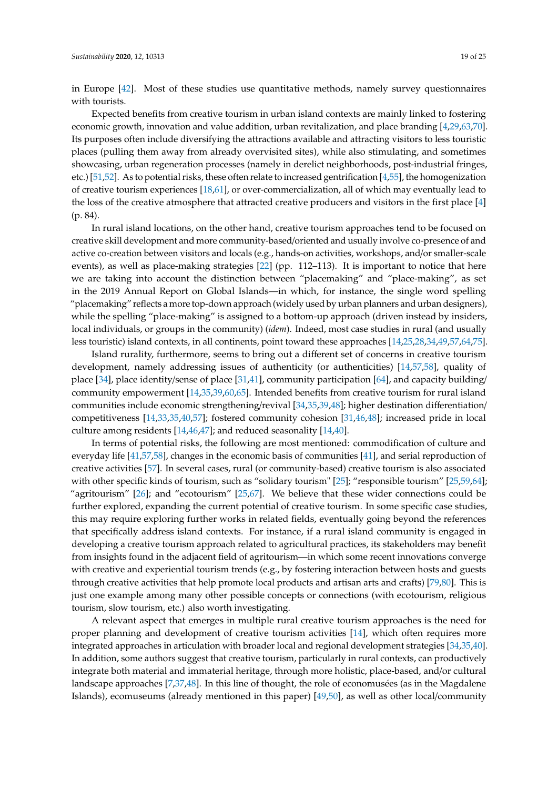in Europe [\[42\]](#page-22-12). Most of these studies use quantitative methods, namely survey questionnaires with tourists.

Expected benefits from creative tourism in urban island contexts are mainly linked to fostering economic growth, innovation and value addition, urban revitalization, and place branding [\[4,](#page-20-3)[29](#page-21-22)[,63](#page-23-10)[,70\]](#page-23-17). Its purposes often include diversifying the attractions available and attracting visitors to less touristic places (pulling them away from already overvisited sites), while also stimulating, and sometimes showcasing, urban regeneration processes (namely in derelict neighborhoods, post-industrial fringes, etc.) [\[51](#page-22-21)[,52\]](#page-22-22). As to potential risks, these often relate to increased gentrification [\[4,](#page-20-3)[55\]](#page-23-2), the homogenization of creative tourism experiences [\[18,](#page-21-11)[61\]](#page-23-8), or over-commercialization, all of which may eventually lead to the loss of the creative atmosphere that attracted creative producers and visitors in the first place [\[4\]](#page-20-3) (p. 84).

In rural island locations, on the other hand, creative tourism approaches tend to be focused on creative skill development and more community-based/oriented and usually involve co-presence of and active co-creation between visitors and locals (e.g., hands-on activities, workshops, and/or smaller-scale events), as well as place-making strategies [\[22\]](#page-21-15) (pp. 112–113). It is important to notice that here we are taking into account the distinction between "placemaking" and "place-making", as set in the 2019 Annual Report on Global Islands—in which, for instance, the single word spelling "placemaking" reflects a more top-down approach (widely used by urban planners and urban designers), while the spelling "place-making" is assigned to a bottom-up approach (driven instead by insiders, local individuals, or groups in the community) (*idem*). Indeed, most case studies in rural (and usually less touristic) island contexts, in all continents, point toward these approaches [\[14](#page-21-9)[,25](#page-21-18)[,28,](#page-21-21)[34,](#page-22-4)[49,](#page-22-19)[57](#page-23-4)[,64](#page-23-11)[,75\]](#page-23-22).

Island rurality, furthermore, seems to bring out a different set of concerns in creative tourism development, namely addressing issues of authenticity (or authenticities) [\[14,](#page-21-9)[57,](#page-23-4)[58\]](#page-23-5), quality of place [\[34\]](#page-22-4), place identity/sense of place [\[31](#page-22-1)[,41\]](#page-22-11), community participation [\[64\]](#page-23-11), and capacity building/ community empowerment [\[14](#page-21-9)[,35](#page-22-5)[,39](#page-22-9)[,60](#page-23-7)[,65\]](#page-23-12). Intended benefits from creative tourism for rural island communities include economic strengthening/revival [\[34](#page-22-4)[,35](#page-22-5)[,39,](#page-22-9)[48\]](#page-22-18); higher destination differentiation/ competitiveness [\[14](#page-21-9)[,33](#page-22-3)[,35](#page-22-5)[,40](#page-22-10)[,57\]](#page-23-4); fostered community cohesion [\[31,](#page-22-1)[46,](#page-22-16)[48\]](#page-22-18); increased pride in local culture among residents [\[14,](#page-21-9)[46,](#page-22-16)[47\]](#page-22-17); and reduced seasonality [\[14](#page-21-9)[,40\]](#page-22-10).

In terms of potential risks, the following are most mentioned: commodification of culture and everyday life [\[41](#page-22-11)[,57](#page-23-4)[,58\]](#page-23-5), changes in the economic basis of communities [\[41\]](#page-22-11), and serial reproduction of creative activities [\[57\]](#page-23-4). In several cases, rural (or community-based) creative tourism is also associated with other specific kinds of tourism, such as "solidary tourism" [\[25\]](#page-21-18); "responsible tourism" [\[25](#page-21-18)[,59](#page-23-6)[,64\]](#page-23-11); "agritourism" [\[26\]](#page-21-19); and "ecotourism" [\[25,](#page-21-18)[67\]](#page-23-14). We believe that these wider connections could be further explored, expanding the current potential of creative tourism. In some specific case studies, this may require exploring further works in related fields, eventually going beyond the references that specifically address island contexts. For instance, if a rural island community is engaged in developing a creative tourism approach related to agricultural practices, its stakeholders may benefit from insights found in the adjacent field of agritourism—in which some recent innovations converge with creative and experiential tourism trends (e.g., by fostering interaction between hosts and guests through creative activities that help promote local products and artisan arts and crafts) [\[79](#page-24-3)[,80\]](#page-24-4). This is just one example among many other possible concepts or connections (with ecotourism, religious tourism, slow tourism, etc.) also worth investigating.

A relevant aspect that emerges in multiple rural creative tourism approaches is the need for proper planning and development of creative tourism activities [\[14\]](#page-21-9), which often requires more integrated approaches in articulation with broader local and regional development strategies [\[34](#page-22-4)[,35](#page-22-5)[,40\]](#page-22-10). In addition, some authors suggest that creative tourism, particularly in rural contexts, can productively integrate both material and immaterial heritage, through more holistic, place-based, and/or cultural landscape approaches [\[7](#page-21-0)[,37](#page-22-7)[,48\]](#page-22-18). In this line of thought, the role of economusées (as in the Magdalene Islands), ecomuseums (already mentioned in this paper) [\[49,](#page-22-19)[50\]](#page-22-20), as well as other local/community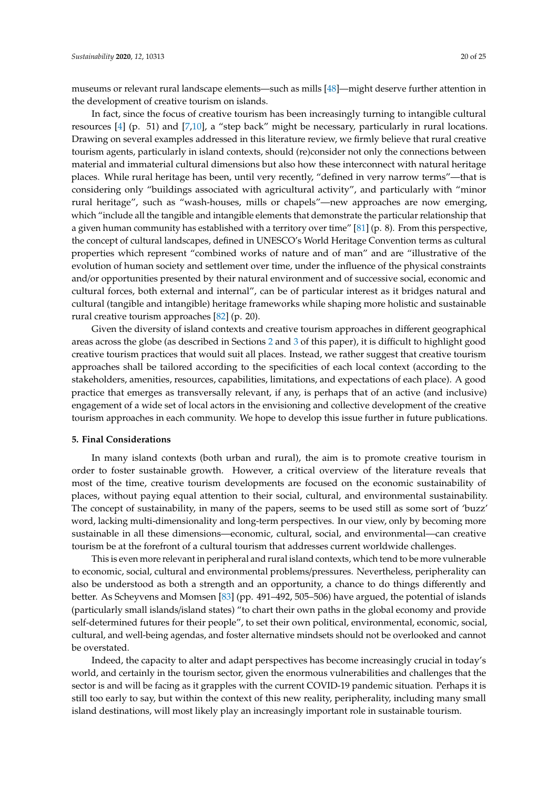museums or relevant rural landscape elements—such as mills [\[48\]](#page-22-18)—might deserve further attention in the development of creative tourism on islands.

In fact, since the focus of creative tourism has been increasingly turning to intangible cultural resources [\[4\]](#page-20-3) (p. 51) and [\[7,](#page-21-0)[10\]](#page-21-3), a "step back" might be necessary, particularly in rural locations. Drawing on several examples addressed in this literature review, we firmly believe that rural creative tourism agents, particularly in island contexts, should (re)consider not only the connections between material and immaterial cultural dimensions but also how these interconnect with natural heritage places. While rural heritage has been, until very recently, "defined in very narrow terms"—that is considering only "buildings associated with agricultural activity", and particularly with "minor rural heritage", such as "wash-houses, mills or chapels"—new approaches are now emerging, which "include all the tangible and intangible elements that demonstrate the particular relationship that a given human community has established with a territory over time" [\[81\]](#page-24-5) (p. 8). From this perspective, the concept of cultural landscapes, defined in UNESCO's World Heritage Convention terms as cultural properties which represent "combined works of nature and of man" and are "illustrative of the evolution of human society and settlement over time, under the influence of the physical constraints and/or opportunities presented by their natural environment and of successive social, economic and cultural forces, both external and internal", can be of particular interest as it bridges natural and cultural (tangible and intangible) heritage frameworks while shaping more holistic and sustainable rural creative tourism approaches [\[82\]](#page-24-6) (p. 20).

Given the diversity of island contexts and creative tourism approaches in different geographical areas across the globe (as described in Sections [2](#page-3-0) and [3](#page-6-0) of this paper), it is difficult to highlight good creative tourism practices that would suit all places. Instead, we rather suggest that creative tourism approaches shall be tailored according to the specificities of each local context (according to the stakeholders, amenities, resources, capabilities, limitations, and expectations of each place). A good practice that emerges as transversally relevant, if any, is perhaps that of an active (and inclusive) engagement of a wide set of local actors in the envisioning and collective development of the creative tourism approaches in each community. We hope to develop this issue further in future publications.

#### **5. Final Considerations**

In many island contexts (both urban and rural), the aim is to promote creative tourism in order to foster sustainable growth. However, a critical overview of the literature reveals that most of the time, creative tourism developments are focused on the economic sustainability of places, without paying equal attention to their social, cultural, and environmental sustainability. The concept of sustainability, in many of the papers, seems to be used still as some sort of 'buzz' word, lacking multi-dimensionality and long-term perspectives. In our view, only by becoming more sustainable in all these dimensions—economic, cultural, social, and environmental—can creative tourism be at the forefront of a cultural tourism that addresses current worldwide challenges.

This is even more relevant in peripheral and rural island contexts, which tend to be more vulnerable to economic, social, cultural and environmental problems/pressures. Nevertheless, peripherality can also be understood as both a strength and an opportunity, a chance to do things differently and better. As Scheyvens and Momsen [\[83\]](#page-24-7) (pp. 491–492, 505–506) have argued, the potential of islands (particularly small islands/island states) "to chart their own paths in the global economy and provide self-determined futures for their people", to set their own political, environmental, economic, social, cultural, and well-being agendas, and foster alternative mindsets should not be overlooked and cannot be overstated.

Indeed, the capacity to alter and adapt perspectives has become increasingly crucial in today's world, and certainly in the tourism sector, given the enormous vulnerabilities and challenges that the sector is and will be facing as it grapples with the current COVID-19 pandemic situation. Perhaps it is still too early to say, but within the context of this new reality, peripherality, including many small island destinations, will most likely play an increasingly important role in sustainable tourism.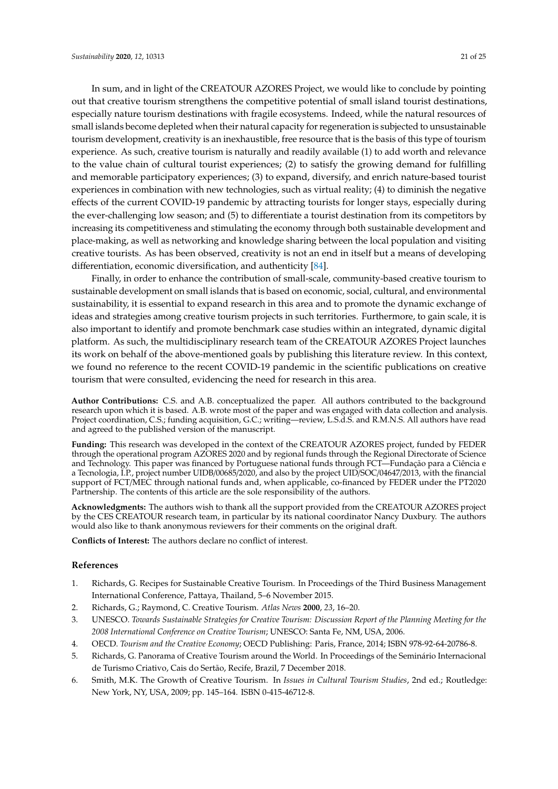In sum, and in light of the CREATOUR AZORES Project, we would like to conclude by pointing out that creative tourism strengthens the competitive potential of small island tourist destinations, especially nature tourism destinations with fragile ecosystems. Indeed, while the natural resources of small islands become depleted when their natural capacity for regeneration is subjected to unsustainable tourism development, creativity is an inexhaustible, free resource that is the basis of this type of tourism

experience. As such, creative tourism is naturally and readily available (1) to add worth and relevance to the value chain of cultural tourist experiences; (2) to satisfy the growing demand for fulfilling and memorable participatory experiences; (3) to expand, diversify, and enrich nature-based tourist experiences in combination with new technologies, such as virtual reality; (4) to diminish the negative effects of the current COVID-19 pandemic by attracting tourists for longer stays, especially during the ever-challenging low season; and (5) to differentiate a tourist destination from its competitors by increasing its competitiveness and stimulating the economy through both sustainable development and place-making, as well as networking and knowledge sharing between the local population and visiting creative tourists. As has been observed, creativity is not an end in itself but a means of developing differentiation, economic diversification, and authenticity [\[84\]](#page-24-8).

Finally, in order to enhance the contribution of small-scale, community-based creative tourism to sustainable development on small islands that is based on economic, social, cultural, and environmental sustainability, it is essential to expand research in this area and to promote the dynamic exchange of ideas and strategies among creative tourism projects in such territories. Furthermore, to gain scale, it is also important to identify and promote benchmark case studies within an integrated, dynamic digital platform. As such, the multidisciplinary research team of the CREATOUR AZORES Project launches its work on behalf of the above-mentioned goals by publishing this literature review. In this context, we found no reference to the recent COVID-19 pandemic in the scientific publications on creative tourism that were consulted, evidencing the need for research in this area.

**Author Contributions:** C.S. and A.B. conceptualized the paper. All authors contributed to the background research upon which it is based. A.B. wrote most of the paper and was engaged with data collection and analysis. Project coordination, C.S.; funding acquisition, G.C.; writing—review, L.S.d.S. and R.M.N.S. All authors have read and agreed to the published version of the manuscript.

**Funding:** This research was developed in the context of the CREATOUR AZORES project, funded by FEDER through the operational program AZORES 2020 and by regional funds through the Regional Directorate of Science and Technology. This paper was financed by Portuguese national funds through FCT—Fundação para a Ciência e a Tecnologia, I.P., project number UIDB/00685/2020, and also by the project UID/SOC/04647/2013, with the financial support of FCT/MEC through national funds and, when applicable, co-financed by FEDER under the PT2020 Partnership. The contents of this article are the sole responsibility of the authors.

**Acknowledgments:** The authors wish to thank all the support provided from the CREATOUR AZORES project by the CES CREATOUR research team, in particular by its national coordinator Nancy Duxbury. The authors would also like to thank anonymous reviewers for their comments on the original draft.

**Conflicts of Interest:** The authors declare no conflict of interest.

# **References**

- <span id="page-20-0"></span>1. Richards, G. Recipes for Sustainable Creative Tourism. In Proceedings of the Third Business Management International Conference, Pattaya, Thailand, 5–6 November 2015.
- <span id="page-20-2"></span><span id="page-20-1"></span>2. Richards, G.; Raymond, C. Creative Tourism. *Atlas News* **2000**, *23*, 16–20.
- 3. UNESCO. *Towards Sustainable Strategies for Creative Tourism: Discussion Report of the Planning Meeting for the 2008 International Conference on Creative Tourism*; UNESCO: Santa Fe, NM, USA, 2006.
- <span id="page-20-3"></span>4. OECD. *Tourism and the Creative Economy*; OECD Publishing: Paris, France, 2014; ISBN 978-92-64-20786-8.
- <span id="page-20-4"></span>5. Richards, G. Panorama of Creative Tourism around the World. In Proceedings of the Seminário Internacional de Turismo Criativo, Cais do Sertão, Recife, Brazil, 7 December 2018.
- <span id="page-20-5"></span>6. Smith, M.K. The Growth of Creative Tourism. In *Issues in Cultural Tourism Studies*, 2nd ed.; Routledge: New York, NY, USA, 2009; pp. 145–164. ISBN 0-415-46712-8.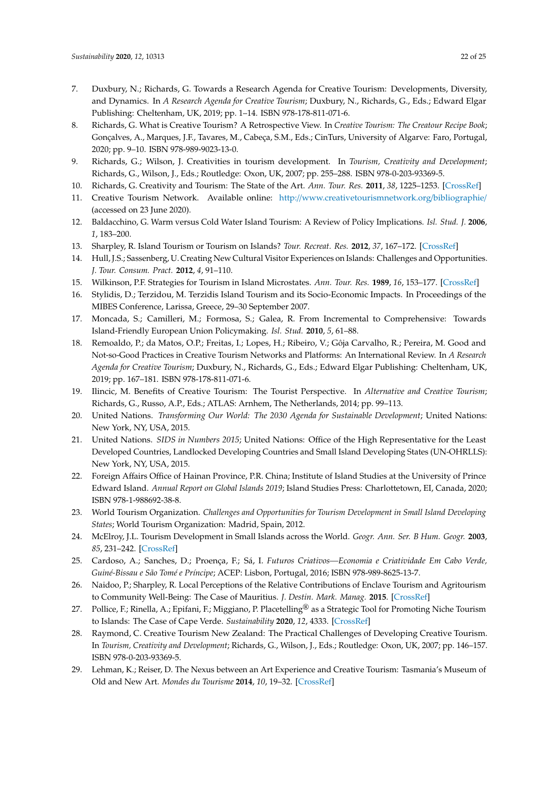- <span id="page-21-0"></span>7. Duxbury, N.; Richards, G. Towards a Research Agenda for Creative Tourism: Developments, Diversity, and Dynamics. In *A Research Agenda for Creative Tourism*; Duxbury, N., Richards, G., Eds.; Edward Elgar Publishing: Cheltenham, UK, 2019; pp. 1–14. ISBN 978-178-811-071-6.
- <span id="page-21-1"></span>8. Richards, G. What is Creative Tourism? A Retrospective View. In *Creative Tourism: The Creatour Recipe Book*; Gonçalves, A., Marques, J.F., Tavares, M., Cabeça, S.M., Eds.; CinTurs, University of Algarve: Faro, Portugal, 2020; pp. 9–10. ISBN 978-989-9023-13-0.
- <span id="page-21-2"></span>9. Richards, G.; Wilson, J. Creativities in tourism development. In *Tourism, Creativity and Development*; Richards, G., Wilson, J., Eds.; Routledge: Oxon, UK, 2007; pp. 255–288. ISBN 978-0-203-93369-5.
- <span id="page-21-3"></span>10. Richards, G. Creativity and Tourism: The State of the Art. *Ann. Tour. Res.* **2011**, *38*, 1225–1253. [\[CrossRef\]](http://dx.doi.org/10.1016/j.annals.2011.07.008)
- <span id="page-21-4"></span>11. Creative Tourism Network. Available online: http://[www.creativetourismnetwork.org](http://www.creativetourismnetwork.org/bibliographie/)/bibliographie/ (accessed on 23 June 2020).
- <span id="page-21-5"></span>12. Baldacchino, G. Warm versus Cold Water Island Tourism: A Review of Policy Implications. *Isl. Stud. J.* **2006**, *1*, 183–200.
- <span id="page-21-6"></span>13. Sharpley, R. Island Tourism or Tourism on Islands? *Tour. Recreat. Res.* **2012**, *37*, 167–172. [\[CrossRef\]](http://dx.doi.org/10.1080/02508281.2012.11081701)
- <span id="page-21-9"></span>14. Hull, J.S.; Sassenberg, U. Creating New Cultural Visitor Experiences on Islands: Challenges and Opportunities. *J. Tour. Consum. Pract.* **2012**, *4*, 91–110.
- <span id="page-21-7"></span>15. Wilkinson, P.F. Strategies for Tourism in Island Microstates. *Ann. Tour. Res.* **1989**, *16*, 153–177. [\[CrossRef\]](http://dx.doi.org/10.1016/0160-7383(89)90065-0)
- <span id="page-21-8"></span>16. Stylidis, D.; Terzidou, M. Terzidis Island Tourism and its Socio-Economic Impacts. In Proceedings of the MIBES Conference, Larissa, Greece, 29–30 September 2007.
- <span id="page-21-10"></span>17. Moncada, S.; Camilleri, M.; Formosa, S.; Galea, R. From Incremental to Comprehensive: Towards Island-Friendly European Union Policymaking. *Isl. Stud.* **2010**, *5*, 61–88.
- <span id="page-21-11"></span>18. Remoaldo, P.; da Matos, O.P.; Freitas, I.; Lopes, H.; Ribeiro, V.; Gôja Carvalho, R.; Pereira, M. Good and Not-so-Good Practices in Creative Tourism Networks and Platforms: An International Review. In *A Research Agenda for Creative Tourism*; Duxbury, N., Richards, G., Eds.; Edward Elgar Publishing: Cheltenham, UK, 2019; pp. 167–181. ISBN 978-178-811-071-6.
- <span id="page-21-12"></span>19. Ilincic, M. Benefits of Creative Tourism: The Tourist Perspective. In *Alternative and Creative Tourism*; Richards, G., Russo, A.P., Eds.; ATLAS: Arnhem, The Netherlands, 2014; pp. 99–113.
- <span id="page-21-13"></span>20. United Nations. *Transforming Our World: The 2030 Agenda for Sustainable Development*; United Nations: New York, NY, USA, 2015.
- <span id="page-21-14"></span>21. United Nations. *SIDS in Numbers 2015*; United Nations: Office of the High Representative for the Least Developed Countries, Landlocked Developing Countries and Small Island Developing States (UN-OHRLLS): New York, NY, USA, 2015.
- <span id="page-21-15"></span>22. Foreign Affairs Office of Hainan Province, P.R. China; Institute of Island Studies at the University of Prince Edward Island. *Annual Report on Global Islands 2019*; Island Studies Press: Charlottetown, EI, Canada, 2020; ISBN 978-1-988692-38-8.
- <span id="page-21-16"></span>23. World Tourism Organization. *Challenges and Opportunities for Tourism Development in Small Island Developing States*; World Tourism Organization: Madrid, Spain, 2012.
- <span id="page-21-17"></span>24. McElroy, J.L. Tourism Development in Small Islands across the World. *Geogr. Ann. Ser. B Hum. Geogr.* **2003**, *85*, 231–242. [\[CrossRef\]](http://dx.doi.org/10.1111/j.0435-3684.2003.00145.x)
- <span id="page-21-18"></span>25. Cardoso, A.; Sanches, D.; Proença, F.; Sá, I. *Futuros Criativos—Economia e Criatividade Em Cabo Verde, Guiné-Bissau e São Tomé e Príncipe*; ACEP: Lisbon, Portugal, 2016; ISBN 978-989-8625-13-7.
- <span id="page-21-19"></span>26. Naidoo, P.; Sharpley, R. Local Perceptions of the Relative Contributions of Enclave Tourism and Agritourism to Community Well-Being: The Case of Mauritius. *J. Destin. Mark. Manag.* **2015**. [\[CrossRef\]](http://dx.doi.org/10.1016/j.jdmm.2015.11.002)
- <span id="page-21-20"></span>27. Pollice, F.; Rinella, A.; Epifani, F.; Miggiano, P. Placetelling® as a Strategic Tool for Promoting Niche Tourism to Islands: The Case of Cape Verde. *Sustainability* **2020**, *12*, 4333. [\[CrossRef\]](http://dx.doi.org/10.3390/su12104333)
- <span id="page-21-21"></span>28. Raymond, C. Creative Tourism New Zealand: The Practical Challenges of Developing Creative Tourism. In *Tourism, Creativity and Development*; Richards, G., Wilson, J., Eds.; Routledge: Oxon, UK, 2007; pp. 146–157. ISBN 978-0-203-93369-5.
- <span id="page-21-22"></span>29. Lehman, K.; Reiser, D. The Nexus between an Art Experience and Creative Tourism: Tasmania's Museum of Old and New Art. *Mondes du Tourisme* **2014**, *10*, 19–32. [\[CrossRef\]](http://dx.doi.org/10.4000/tourisme.372)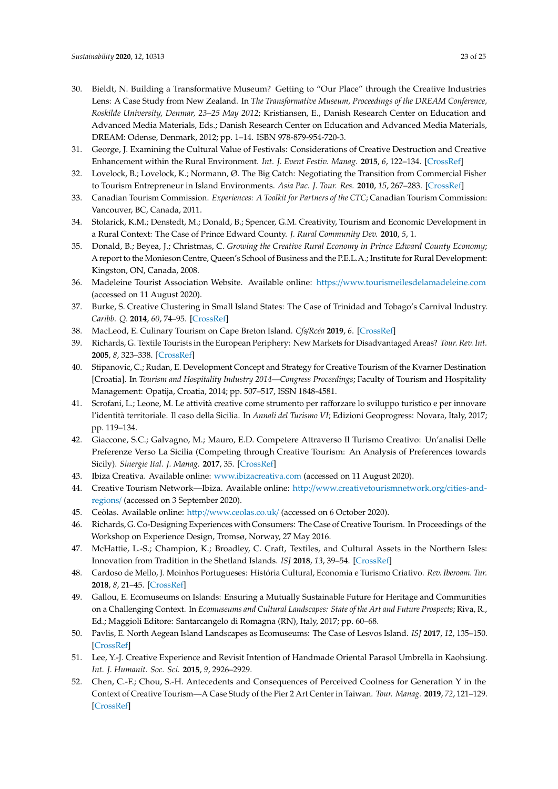- <span id="page-22-0"></span>30. Bieldt, N. Building a Transformative Museum? Getting to "Our Place" through the Creative Industries Lens: A Case Study from New Zealand. In *The Transformative Museum, Proceedings of the DREAM Conference, Roskilde University, Denmar, 23–25 May 2012*; Kristiansen, E., Danish Research Center on Education and Advanced Media Materials, Eds.; Danish Research Center on Education and Advanced Media Materials, DREAM: Odense, Denmark, 2012; pp. 1–14. ISBN 978-879-954-720-3.
- <span id="page-22-1"></span>31. George, J. Examining the Cultural Value of Festivals: Considerations of Creative Destruction and Creative Enhancement within the Rural Environment. *Int. J. Event Festiv. Manag.* **2015**, *6*, 122–134. [\[CrossRef\]](http://dx.doi.org/10.1108/IJEFM-01-2015-0002)
- <span id="page-22-2"></span>32. Lovelock, B.; Lovelock, K.; Normann, Ø. The Big Catch: Negotiating the Transition from Commercial Fisher to Tourism Entrepreneur in Island Environments. *Asia Pac. J. Tour. Res.* **2010**, *15*, 267–283. [\[CrossRef\]](http://dx.doi.org/10.1080/10941665.2010.503616)
- <span id="page-22-3"></span>33. Canadian Tourism Commission. *Experiences: A Toolkit for Partners of the CTC*; Canadian Tourism Commission: Vancouver, BC, Canada, 2011.
- <span id="page-22-4"></span>34. Stolarick, K.M.; Denstedt, M.; Donald, B.; Spencer, G.M. Creativity, Tourism and Economic Development in a Rural Context: The Case of Prince Edward County. *J. Rural Community Dev.* **2010**, *5*, 1.
- <span id="page-22-5"></span>35. Donald, B.; Beyea, J.; Christmas, C. *Growing the Creative Rural Economy in Prince Edward County Economy*; A report to the Monieson Centre, Queen's School of Business and the P.E.L.A.; Institute for Rural Development: Kingston, ON, Canada, 2008.
- <span id="page-22-6"></span>36. Madeleine Tourist Association Website. Available online: https://[www.tourismeilesdelamadeleine.com](https://www.tourismeilesdelamadeleine.com) (accessed on 11 August 2020).
- <span id="page-22-7"></span>37. Burke, S. Creative Clustering in Small Island States: The Case of Trinidad and Tobago's Carnival Industry. *Caribb. Q.* **2014**, *60*, 74–95. [\[CrossRef\]](http://dx.doi.org/10.1080/00086495.2014.11672514)
- <span id="page-22-8"></span>38. MacLeod, E. Culinary Tourism on Cape Breton Island. *Cfs*/*Rcéa* **2019**, *6*. [\[CrossRef\]](http://dx.doi.org/10.15353/cfs-rcea.v6i2.333)
- <span id="page-22-9"></span>39. Richards, G. Textile Tourists in the European Periphery: New Markets for Disadvantaged Areas? *Tour. Rev. Int.* **2005**, *8*, 323–338. [\[CrossRef\]](http://dx.doi.org/10.3727/154427205774791519)
- <span id="page-22-10"></span>40. Stipanovic, C.; Rudan, E. Development Concept and Strategy for Creative Tourism of the Kvarner Destination [Croatia]. In *Tourism and Hospitality Industry 2014—Congress Proceedings*; Faculty of Tourism and Hospitality Management: Opatija, Croatia, 2014; pp. 507–517, ISSN 1848-4581.
- <span id="page-22-11"></span>41. Scrofani, L.; Leone, M. Le attività creative come strumento per rafforzare lo sviluppo turistico e per innovare l'identità territoriale. Il caso della Sicilia. In *Annali del Turismo VI*; Edizioni Geoprogress: Novara, Italy, 2017; pp. 119–134.
- <span id="page-22-12"></span>42. Giaccone, S.C.; Galvagno, M.; Mauro, E.D. Competere Attraverso Il Turismo Creativo: Un'analisi Delle Preferenze Verso La Sicilia (Competing through Creative Tourism: An Analysis of Preferences towards Sicily). *Sinergie Ital. J. Manag.* **2017**, 35. [\[CrossRef\]](http://dx.doi.org/10.7433/s103.2017.15)
- <span id="page-22-13"></span>43. Ibiza Creativa. Available online: <www.ibizacreativa.com> (accessed on 11 August 2020).
- <span id="page-22-14"></span>44. Creative Tourism Network—Ibiza. Available online: http://[www.creativetourismnetwork.org](http://www.creativetourismnetwork.org/cities-and-regions/)/cities-and[regions](http://www.creativetourismnetwork.org/cities-and-regions/)/ (accessed on 3 September 2020).
- <span id="page-22-15"></span>45. Ceòlas. Available online: http://[www.ceolas.co.uk](http://www.ceolas.co.uk/)/ (accessed on 6 October 2020).
- <span id="page-22-16"></span>46. Richards, G. Co-Designing Experiences with Consumers: The Case of Creative Tourism. In Proceedings of the Workshop on Experience Design, Tromsø, Norway, 27 May 2016.
- <span id="page-22-17"></span>47. McHattie, L.-S.; Champion, K.; Broadley, C. Craft, Textiles, and Cultural Assets in the Northern Isles: Innovation from Tradition in the Shetland Islands. *ISJ* **2018**, *13*, 39–54. [\[CrossRef\]](http://dx.doi.org/10.24043/isj.47)
- <span id="page-22-18"></span>48. Cardoso de Mello, J. Moinhos Portugueses: História Cultural, Economia e Turismo Criativo. *Rev. Iberoam. Tur.* **2018**, *8*, 21–45. [\[CrossRef\]](http://dx.doi.org/10.2436/20.8070.01.100)
- <span id="page-22-19"></span>49. Gallou, E. Ecomuseums on Islands: Ensuring a Mutually Sustainable Future for Heritage and Communities on a Challenging Context. In *Ecomuseums and Cultural Landscapes: State of the Art and Future Prospects*; Riva, R., Ed.; Maggioli Editore: Santarcangelo di Romagna (RN), Italy, 2017; pp. 60–68.
- <span id="page-22-20"></span>50. Pavlis, E. North Aegean Island Landscapes as Ecomuseums: The Case of Lesvos Island. *ISJ* **2017**, *12*, 135–150. [\[CrossRef\]](http://dx.doi.org/10.24043/isj.9)
- <span id="page-22-21"></span>51. Lee, Y.-J. Creative Experience and Revisit Intention of Handmade Oriental Parasol Umbrella in Kaohsiung. *Int. J. Humanit. Soc. Sci.* **2015**, *9*, 2926–2929.
- <span id="page-22-22"></span>52. Chen, C.-F.; Chou, S.-H. Antecedents and Consequences of Perceived Coolness for Generation Y in the Context of Creative Tourism—A Case Study of the Pier 2 Art Center in Taiwan. *Tour. Manag.* **2019**, *72*, 121–129. [\[CrossRef\]](http://dx.doi.org/10.1016/j.tourman.2018.11.016)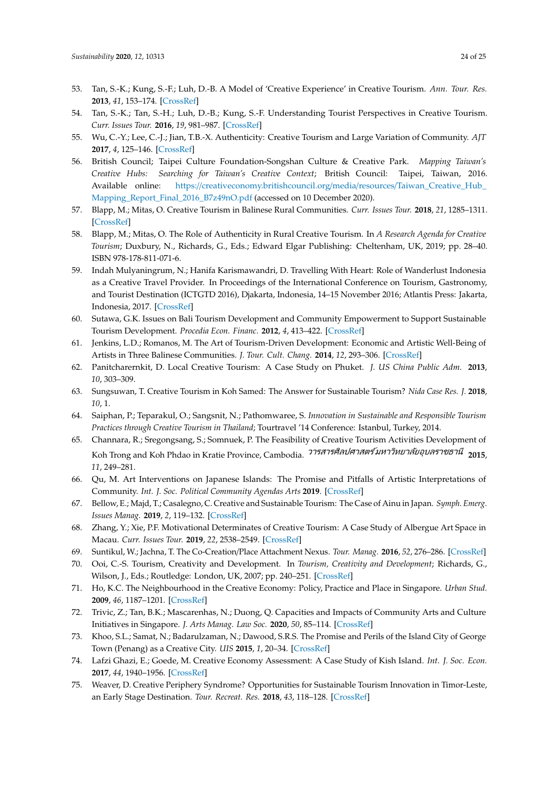- <span id="page-23-0"></span>53. Tan, S.-K.; Kung, S.-F.; Luh, D.-B. A Model of 'Creative Experience' in Creative Tourism. *Ann. Tour. Res.* **2013**, *41*, 153–174. [\[CrossRef\]](http://dx.doi.org/10.1016/j.annals.2012.12.002)
- <span id="page-23-1"></span>54. Tan, S.-K.; Tan, S.-H.; Luh, D.-B.; Kung, S.-F. Understanding Tourist Perspectives in Creative Tourism. *Curr. Issues Tour.* **2016**, *19*, 981–987. [\[CrossRef\]](http://dx.doi.org/10.1080/13683500.2015.1008427)
- <span id="page-23-2"></span>55. Wu, C.-Y.; Lee, C.-J.; Jian, T.B.-X. Authenticity: Creative Tourism and Large Variation of Community. *AJT* **2017**, *4*, 125–146. [\[CrossRef\]](http://dx.doi.org/10.30958/ajt.4.2.3)
- <span id="page-23-3"></span>56. British Council; Taipei Culture Foundation-Songshan Culture & Creative Park. *Mapping Taiwan's Creative Hubs: Searching for Taiwan's Creative Context*; British Council: Taipei, Taiwan, 2016. Available online: https://[creativeconomy.britishcouncil.org](https://creativeconomy.britishcouncil.org/media/resources/Taiwan_Creative_Hub_Mapping_Report_Final_2016_B7z49nO.pdf)/media/resources/Taiwan\_Creative\_Hub [Mapping\\_Report\\_Final\\_2016\\_B7z49nO.pdf](https://creativeconomy.britishcouncil.org/media/resources/Taiwan_Creative_Hub_Mapping_Report_Final_2016_B7z49nO.pdf) (accessed on 10 December 2020).
- <span id="page-23-4"></span>57. Blapp, M.; Mitas, O. Creative Tourism in Balinese Rural Communities. *Curr. Issues Tour.* **2018**, *21*, 1285–1311. [\[CrossRef\]](http://dx.doi.org/10.1080/13683500.2017.1358701) 58. Blapp, M.; Mitas, O. The Role of Authenticity in Rural Creative Tourism. In *A Research Agenda for Creative*
- <span id="page-23-5"></span>58. Blapp, M.; Mitas, O. The Role of Authenticity in Rural Creative Tourism. In A Research Agenda for Creative Tourism; Duxbury, N., Richards, G., Eds.; Edward Elgar Publishing: Cheltenham, UK, 2019; pp. 28-40. ISBN 978-178-811-071-6.
- <span id="page-23-6"></span>59. Indah Mulyaningrum, N.; Hanifa Karismawandri, D. Travelling With Heart: Role of Wanderlust Indonesia as a Creative Travel Provider. In Proceedings of the International Conference on Tourism, Gastronomy, and Tourist Destination (ICTGTD 2016), Djakarta, Indonesia, 14–15 November 2016; Atlantis Press: Jakarta, Indonesia, 2017. [\[CrossRef\]](http://dx.doi.org/10.2991/ictgtd-16.2017.28)
- <span id="page-23-7"></span>60. Sutawa, G.K. Issues on Bali Tourism Development and Community Empowerment to Support Sustainable Tourism Development. Procedia Econ. Financ. 2012, 4, 413-422. [\[CrossRef\]](http://dx.doi.org/10.1016/S2212-5671(12)00356-5)
- <span id="page-23-8"></span>61. Jenkins, L.D.; Romanos, M. The Art of Tourism-Driven Development: Economic and Artistic Well-Being of Artists in Three Balinese Communities. *J. Tour. Cult. Chang.* **2014**, 12, 293–306. [\[CrossRef\]](http://dx.doi.org/10.1080/14766825.2014.934377)
- <span id="page-23-9"></span>62. Panitcharernkit, D. Local Creative Tourism: A Case Study on Phuket. J. US China Public Adm. 2013, *10*, 303–309. 309.
- <span id="page-23-10"></span>63. Sungsuwan, T. Creative Tourism in Koh Samed: The Answer for Sustainable Tourism? Nida Case Res. J. 2018, *<i>10***, 1.**  $\blacksquare$
- <span id="page-23-11"></span>64. Saiphan, P.; Teparakul, O.; Sangsnit, N.; Pathomwaree, S. Innovation in Sustainable and Responsible Tourism *Practices through Creative Tourism in Thailand*; Tourtravel '14 Conference: Istanbul, Turkey, 2014. *Practices through Creative Tourism in Thailand*; Tourtravel '14 Conference: Istanbul, Turkey, 2014.
- <span id="page-23-12"></span>65. Channara, R.; Sregongsang, S.; Somnuek, P. The Feasibility of Creative Tourism Activities Development of i5. Channara, R.; Sregongsang, S.; Somnuek, P. The Feasibility of Creative Tourism Activities Development of<br>Koh Trong and Koh Phdao in Kratie Province, Cambodia. <sup>275สารศิลปศาสตร์ มหาวิทยาล*ัยอุบลราชธานี* 2015,</sup> *11*, 249–281. *11*, 249–281.
- <span id="page-23-13"></span>66. Qu, M. Art Interventions on Japanese Islands: The Promise and Pitfalls of Artistic Interpretations of 66. Qu, M. Art Interventions on Japanese Islands: The Promise and Pitfalls of Artistic Interpretations of Community. Int. J. Soc. Political Community Agendas Arts **2019**. [\[CrossRef\]](http://dx.doi.org/10.18848/2326-9960/CGP/v14i03/19-38)
- <span id="page-23-14"></span>67. Bellow, E.; Majd, T.; Casalegno, C. Creative and Sustainable Tourism: The Case of Ainu in Japan. Symph. Emerg. *Issues Manag.* **2019**, 2, 119–132. [\[CrossRef\]](http://dx.doi.org/10.4468/2019.2.11bellow.majd.casalegno)
- <span id="page-23-15"></span>68. Zhang, Y.; Xie, P.F. Motivational Determinates of Creative Tourism: A Case Study of Albergue Art Space 68. Zhang, Y.; Xie, P.F. Motivational Determinates of Creative Tourism: A Case Study of Albergue Art Space in Macau. *Curr. Issues Tour.* **2019**, 22, 2538–2549. [\[CrossRef\]](http://dx.doi.org/10.1080/13683500.2018.1517733)
- <span id="page-23-16"></span>69. Suntikul, W.; Jachna, T. The Co-Creation/Place Attachment Nexus. Tour. Manag. 2016, 52, 276-286. [\[CrossRef\]](http://dx.doi.org/10.1016/j.tourman.2015.06.026)
- <span id="page-23-17"></span>70. Ooi, C.-S. Tourism, Creativity and Development. In *Tourism, Creativity and Development*; Richards, G., Wilson, J., Eds.; Routledge: London, UK, 2007; pp. 240–251. [\[CrossRef\]](http://dx.doi.org/10.4324/9780203933695)
- <span id="page-23-18"></span>71. Ho, K.C. The Neighbourhood in the Creative Economy: Policy, Practice and Place in Singapore. *Urban Stud.* 71. Ho, K.C. The Neighbourhood in the Creative Economy: Policy, Practice and Place in Singapore. *Urban Stud.*  **2009**, *46*, 1187–1201. [\[CrossRef\]](http://dx.doi.org/10.1177/0042098009103860)
- <span id="page-23-19"></span>72. Trivic, Z.; Tan, B.K.; Mascarenhas, N.; Duong, Q. Capacities and Impacts of Community Arts and Culture Initiatives in Singapore. *J. Arts Manag. Law Soc.* 2020, 50, 85-114. [\[CrossRef\]](http://dx.doi.org/10.1080/10632921.2020.1720877)
- <span id="page-23-20"></span>73. Khoo, S.L.; Samat, N.; Badarulzaman, N.; Dawood, S.R.S. The Promise and Perils of the Island City of George Town (Penang) as a Creative City. *UIS* 2015, 1, 20–34. [\[CrossRef\]](http://dx.doi.org/10.20958/uis.2015.2)
- <span id="page-23-21"></span>74. Lafzi Ghazi, E.; Goede, M. Creative Economy Assessment: A Case Study of Kish Island. *Int. J. Soc. Econ.* 74. Lafzi Ghazi, E.; Goede, M. Creative Economy Assessment: A Case Study of Kish Island. *Int. J. Soc. Econ.*  **2017**, *44*, 1940–1956. [\[CrossRef\]](http://dx.doi.org/10.1108/IJSE-05-2016-0141)
- <span id="page-23-22"></span>75. Weaver, D. Creative Periphery Syndrome? Opportunities for Sustainable Tourism Innovation in Timor-Leste, an Early Stage Destination. *Tour. Recreat. Res.* 2018, 43, 118–128. [\[CrossRef\]](http://dx.doi.org/10.1080/02508281.2017.1397838)